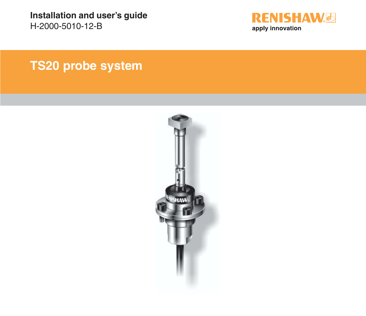**Installation and user's guide** H-2000-5010-12-B



# **TS20 probe system**

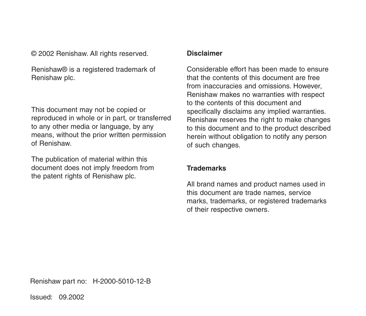© 2002 Renishaw. All rights reserved.

Renishaw® is a registered trademark of Renishaw plc.

This document may not be copied or reproduced in whole or in part, or transferred to any other media or language, by any means, without the prior written permission of Renishaw.

The publication of material within this document does not imply freedom from the patent rights of Renishaw plc.

#### **Disclaimer**

Considerable effort has been made to ensure that the contents of this document are free from inaccuracies and omissions. However Renishaw makes no warranties with respect to the contents of this document and specifically disclaims any implied warranties. Renishaw reserves the right to make changes to this document and to the product described herein without obligation to notify any person of such changes.

#### **Trademarks**

All brand names and product names used in this document are trade names, service marks, trademarks, or registered trademarks of their respective owners.

Renishaw part no: H-2000-5010-12-B

Issued: 09.2002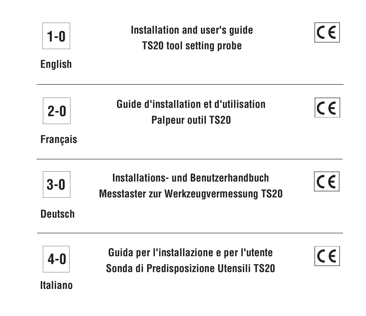| 1-0<br><b>English</b>      | Installation and user's guide<br><b>TS20 tool setting probe</b>                             |  |
|----------------------------|---------------------------------------------------------------------------------------------|--|
| $2 - 0$<br><b>Français</b> | <b>Guide d'installation et d'utilisation</b><br><b>Palpeur outil TS20</b>                   |  |
| $3-0$<br><b>Deutsch</b>    | <b>Installations- und Benutzerhandbuch</b><br><b>Messtaster zur Werkzeugvermessung TS20</b> |  |
| $4-0$<br>Italiano          | Guida per l'installazione e per l'utente<br>Sonda di Predisposizione Utensili TS20          |  |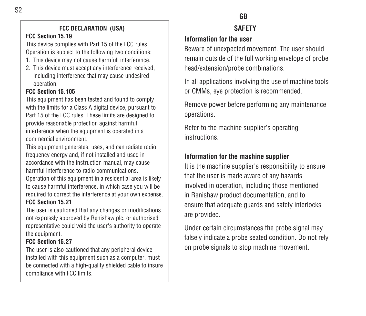## **FCC DECLARATION (USA)**

#### **FCC Section 15.19**

This device complies with Part 15 of the FCC rules. Operation is subject to the following two conditions:

- 1. This device may not cause harmfull interference.
- 2. This device must accept any interference received, including interference that may cause undesired operation.

#### **FCC Section 15.105**

This equipment has been tested and found to comply with the limits for a Class A digital device, pursuant to Part 15 of the FCC rules. These limits are designed to provide reasonable protection against harmful interference when the equipment is operated in a commercial environment.

This equipment generates, uses, and can radiate radio frequency energy and, if not installed and used in accordance with the instruction manual, may cause harmful interference to radio communications.

Operation of this equipment in a residential area is likely to cause harmful interference, in which case you will be required to correct the interference at your own expense. **FCC Section 15.21**

The user is cautioned that any changes or modifications not expressly approved by Renishaw plc, or authorised representative could void the user's authority to operate the equipment.

#### **FCC Section 15.27**

The user is also cautioned that any peripheral device installed with this equipment such as a computer, must be connected with a high-quality shielded cable to insure compliance with FCC limits.

# **GB**

## **SAFETY**

## **Information for the user**

Beware of unexpected movement. The user should remain outside of the full working envelope of probe head/extension/probe combinations.

In all applications involving the use of machine tools or CMMs, eye protection is recommended.

Remove power before performing any maintenance operations.

Refer to the machine supplier's operating instructions.

# **Information for the machine supplier**

It is the machine supplier's responsibility to ensure that the user is made aware of any hazards involved in operation, including those mentioned in Renishaw product documentation, and to ensure that adequate guards and safety interlocks are provided.

Under certain circumstances the probe signal may falsely indicate a probe seated condition. Do not rely on probe signals to stop machine movement.

S2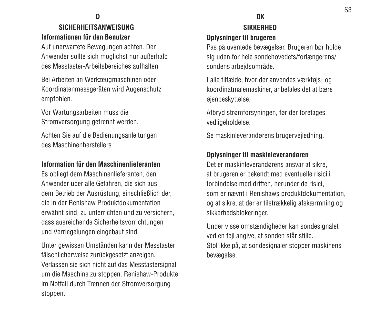**D**

# **SICHERHEITSANWEISUNGInformationen für den Benutzer**

Auf unerwartete Bewegungen achten. Der Anwender sollte sich möglichst nur außerhalb des Messtaster-Arbeitsbereiches aufhalten.

Bei Arbeiten an Werkzeugmaschinen oder Koordinatenmessgeräten wird Augenschutz empfohlen.

Vor Wartungsarbeiten muss die Stromversorgung getrennt werden.

Achten Sie auf die Bedienungsanleitungen des Maschinenherstellers.

#### **Information für den Maschinenlieferanten**

Es obliegt dem Maschinenlieferanten, den Anwender über alle Gefahren, die sich aus dem Betrieb der Ausrüstung, einschließlich der, die in der Renishaw Produktdokumentationerwähnt sind, zu unterrichten und zu versichern, dass ausreichende Sicherheitsvorrichtungen und Verriegelungen eingebaut sind.

Unter gewissen Umständen kann der Messtaster fälschlicherweise zurückgesetzt anzeigen. Verlassen sie sich nicht auf das Messtastersignal um die Maschine zu stoppen. Renishaw-Produkte im Notfall durch Trennen der Stromversorgung stoppen.

## **DK SIKKERHED**

## **Oplysninger til brugeren**

Pas på uventede bevægelser. Brugeren bør holde sig uden for hele sondehovedets/forlængerens/ sondens arbejdsområde.

I alle tilfælde, hvor der anvendes værktøjs- og koordinatmålemaskiner, anbefales det at bære øjenbeskyttelse.

Afbryd strømforsyningen, før der foretages vedligeholdelse.

Se maskinleverandørens brugervejledning.

#### **Oplysninger til maskinleverandøren**

Det er maskinleverandørens ansvar at sikre, at brugeren er bekendt med eventuelle risici i forbindelse med driften, herunder de risici, som er nævnt i Renishaws produktdokumentation, og at sikre, at der er tilstrækkelig afskærmning og sikkerhedsblokeringer.

Under visse omstændigheder kan sondesignalet ved en fejl angive, at sonden står stille. Stol ikke på, at sondesignaler stopper maskinens bevægelse.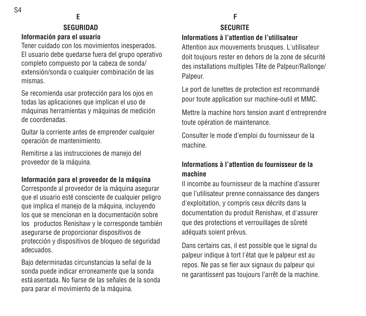## **E SEGURIDADInformación para el usuario**

Tener cuidado con los movimientos inesperados. El usuario debe quedarse fuera del grupo operativo completo compuesto por la cabeza de sonda/ extensión/sonda o cualquier combinación de las mismas.

Se recomienda usar protección para los ojos en todas las aplicaciones que implican el uso de máquinas herramientas y máquinas de medición de coordenadas.

Quitar la corriente antes de emprender cualquier operación de mantenimiento.

Remitirse a las instrucciones de manejo del proveedor de la máquina.

## **Información para el proveedor de la máquina**

Corresponde al proveedor de la máquina asegurar que el usuario esté consciente de cualquier peligro que implica el manejo de la máquina, incluyendo los que se mencionan en la documentación sobre los productos Renishaw y le corresponde también asegurarse de proporcionar dispositivos de protección y dispositivos de bloqueo de seguridad adecuados.

Bajo determinadas circunstancias la señal de la sonda puede indicar erroneamente que la sonda está asentada. No fiarse de las señales de la sondapara parar el movimiento de la máquina.

# **F**

#### **SECURITEInformations à l'attention de l'utilisateur**

Attention aux mouvements brusques. L'utilisateur doit toujours rester en dehors de la zone de sécurité des installations multiples Tête de Palpeur/Rallonge/ Palpeur.

Le port de lunettes de protection est recommandé pour toute application sur machine-outil et MMC.

Mettre la machine hors tension avant d'entreprendre toute opération de maintenance.

Consulter le mode d'emploi du fournisseur de la machine.

## **Informations à l'attention du fournisseur de lamachine**

Il incombe au fournisseur de la machine d'assurerque l'utilisateur prenne connaissance des dangers d'exploitation, y compris ceux décrits dans la documentation du produit Renishaw, et d'assurer que des protections et verrouillages de sûreté adéquats soient prévus.

Dans certains cas, il est possible que le signal du palpeur indique à tort l'état que le palpeur est au repos. Ne pas se fier aux signaux du palpeur qui ne garantissent pas toujours l'arrêt de la machine.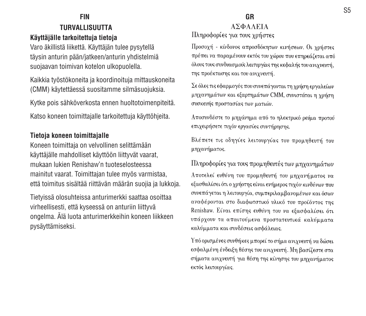## **FIN TURVALLISUUTTAKäyttäjälle tarkoitettuja tietoja**

Varo äkillistä liikettä. Käyttäjän tulee pysytellä täysin anturin pään/jatkeen/anturin yhdistelmiä suojaavan toimivan kotelon ulkopuolella.

Kaikkia työstökoneita ja koordinoituja mittauskoneita (CMM) käytettäessä suositamme silmäsuojuksia.

Kytke pois sähköverkosta ennen huoltotoimenpiteitä.

Katso koneen toimittajalle tarkoitettuja käyttöhjeita.

#### **Tietoja koneen toimittajalle**

Koneen toimittaja on velvollinen selittämään käyttäjälle mahdolliset käyttöön liittyvät vaarat, mukaan lukien Renishaw'n tuoteselosteessamainitut vaarat. Toimittajan tulee myös varmistaa, että toimitus sisältää riittävän määrän suojia ja lukkoja.

Tietyissä olosuhteissa anturimerkki saattaa osoittaa virheellisesti, että kyseessä on anturiin liittyvä ongelma. Älä luota anturimerkkeihin koneen liikkeen pysäyttämiseksi.

#### **GRANDAAEIA**

Πληροφορίες για τους χρήστες

Προσοχή - κίνδονος απροσδόκητων κινήσεων. Οι χρήστες πρέπει να παραμένουν εκτός του χώρου που επηρεάζεται από όλους τους συνδυασμούς λειτυργίας της κεφαλής του ανιγνευτή, της προέκτασης και του ανιγνευτή.

Σε όλες τις εφαρμογές που συνεπάγονται τη χρήση εργαλείων μηχανημάτων και εξαρτημάτων CMM, συνιστάται η χρήση συσκευής προστασίας των ματιών.

Αποσυνδέστε το μηχάνημα από το ηλεκτρικό ρεύμα προτού επιχειρήσετε τυχόν εργασίες συντήρησης.

Βλέπετε τις οδηγίες λειτουργίας του προμηθευτή του μηχανήματος.

Πληροφορίες για τους προμηθευτές των μηχανημάτων

Αποτελεί ευθύνη του προμηθευτή του μηχανήματος να εξασθαλίσει ότι ο χρήστης είναι ενήμερος τυχόν κινδύνων που συνεπάγεται η λειτουργία, συμπεριλαμβανομένων και όσων αναφέρονται στο διαφωτστικό υλικό του προϊόντος της Renishaw. Είναι επίσης ευθύνη του να εξασφαλίσει ότι υπάρχουν τα απαιτούμενα προστατευτικά καλύμματα καλύμματα και συνδέσεις ασφάλειας.

Υπό ορισμένες συνθήκες μπορεί το σήμα ανιχνευτή να δώσει εσφαλμένη ένδειξη θέσης του ανιχνευτή. Μη βασίζεστε στα σήματα ανιχνευτή για θέση της κίνησης του μηχανήματος εκτός λειτουργίας.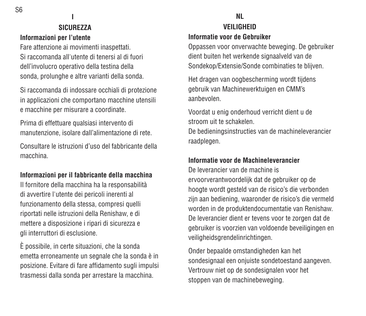S6

# **I SICUREZZA**

#### **Informazioni per l'utente**

Fare attenzione ai movimenti inaspettati. Si raccomanda all'utente di tenersi al di fuoridell'involucro operativo della testina della sonda, prolunghe e altre varianti della sonda.

Si raccomanda di indossare occhiali di protezione in applicazioni che comportano macchine utensili e macchine per misurare a coordinate.

Prima di effettuare qualsiasi intervento di manutenzione, isolare dall'alimentazione di rete.

Consultare le istruzioni d'uso del fabbricante dellamacchina.

# **Informazioni per il fabbricante della macchina**

Il fornitore della macchina ha la responsabilità di avvertire l'utente dei pericoli inerenti al funzionamento della stessa, compresi quelli riportati nelle istruzioni della Renishaw, e di mettere a disposizione i ripari di sicurezza e gli interruttori di esclusione.

È possibile, in certe situazioni, che la sonda emetta erroneamente un segnale che la sonda è in posizione. Evitare di fare affidamento sugli impulsi trasmessi dalla sonda per arrestare la macchina.

# **NL**

#### **VEILIGHEIDInformatie voor de Gebruiker**

Oppassen voor onverwachte beweging. De gebruiker dient buiten het werkende signaalveld van de Sondekop/Extensie/Sonde combinaties te blijven.

Het dragen van oogbescherming wordt tijdens gebruik van Machinewerktuigen en CMM's aanbevolen.

Voordat u enig onderhoud verricht dient u de stroom uit te schakelen.

De bedieningsinstructies van de machineleverancier raadplegen.

## **Informatie voor de Machineleverancier**

De leverancier van de machine iservoorverantwoordelijk dat de gebruiker op de hoogte wordt gesteld van de risico's die verbonden zijn aan bediening, waaronder de risico's die vermeld worden in de produktendocumentatie van Renishaw. De leverancier dient er tevens voor te zorgen dat de gebruiker is voorzien van voldoende beveiligingen en veiligheidsgrendelinrichtingen.

Onder bepaalde omstandigheden kan het sondesignaal een onjuiste sondetoestand aangeven. Vertrouw niet op de sondesignalen voor het stoppen van de machinebeweging.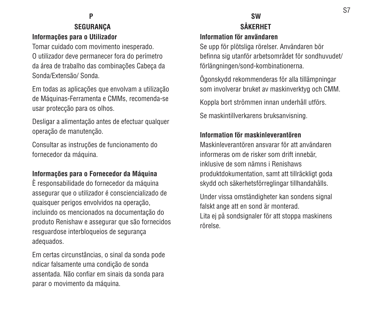## **P SEGURANÇA Informações para o Utilizador**

Tomar cuidado com movimento inesperado. O utilizador deve permanecer fora do perímetro da área de trabalho das combinações Cabeça da Sonda/Extensão/ Sonda.

Em todas as aplicações que envolvam a utilização de Máquinas-Ferramenta e CMMs, recomenda-se usar protecção para os olhos.

Desligar a alimentação antes de efectuar qualquer operação de manutenção.

Consultar as instruções de funcionamento do fornecedor da máquina.

#### **Informações para o Fornecedor da Máquina**

È responsabilidade do fornecedor da máquina assegurar que o utilizador é consciencializado de quaisquer perigos envolvidos na operação, incluindo os mencionados na documentação do produto Renishaw e assegurar que são fornecidos resguardose interbloqueios de segurança adequados.

Em certas circunstâncias, o sinal da sonda pode ndicar falsamente uma condição de sonda assentada. Não confiar em sinais da sonda para parar o movimento da máquina.

# **SW SÅKERHET**

#### **Information för användaren**

Se upp för plötsliga rörelser. Användaren bör befinna sig utanför arbetsområdet för sondhuvudet/ förlängningen/sond-kombinationerna.

Ögonskydd rekommenderas för alla tillämpningar som involverar bruket av maskinverktyg och CMM.

Koppla bort strömmen innan underhåll utförs.

Se maskintillverkarens bruksanvisning.

## **Information för maskinleverantören**

Maskinleverantören ansvarar för att användareninformeras om de risker som drift innebär, inklusive de som nämns i Renishawsproduktdokumentation, samt att tillräckligt goda skydd och säkerhetsförreglingar tillhandahålls.

Under vissa omständigheter kan sondens signal falskt ange att en sond är monterad. Lita ei på sondsignaler för att stoppa maskinens rörelse.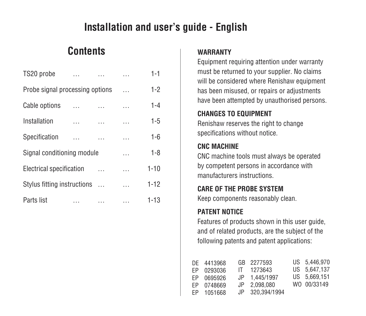# **Installation and user's guide - English**

# **Contents**

| TS20 probe                      |   | $\cdots$ | $1 - 1$  |
|---------------------------------|---|----------|----------|
| Probe signal processing options |   | $\cdots$ | $1 - 2$  |
| Cable options                   |   | .        | $1 - 4$  |
| Installation<br>$\cdots$        |   | $\cdots$ | $1 - 5$  |
| Specification                   |   | $\cdots$ | 1-6      |
| Signal conditioning module      |   | $\cdots$ | $1 - 8$  |
| Electrical specification        |   |          | $1 - 10$ |
| Stylus fitting instructions     |   |          | $1 - 12$ |
| Parts list<br>$\cdots$          | . | .        | $1 - 13$ |

#### **WARRANTY**

Equipment requiring attention under warranty must be returned to your supplier. No claims will be considered where Renishaw equipment has been misused, or repairs or adjustments have been attempted by unauthorised persons.

## **CHANGES TO EQUIPMENT**

Renishaw reserves the right to change specifications without notice.

## **CNC MACHINE**

CNC machine tools must always be operated by competent persons in accordance with manufacturers instructions.

## **CARE OF THE PROBE SYSTEM**

Keep components reasonably clean.

# **PATENT NOTICE**

Features of products shown in this user quide. and of related products, are the subject of the following patents and patent applications:

|     | DE 4413968 |    | GB 2277593      | US 5.446.970 |
|-----|------------|----|-----------------|--------------|
| FP. | 0293036    |    | IT 1273643      | US 5.647.137 |
| FP  | 0695926    | JP | 1.445/1997      | US 5.669.151 |
| FP  | 0748669    |    | JP 2.098.080    | WO 00/33149  |
| FP. | 1051668    |    | JP 320.394/1994 |              |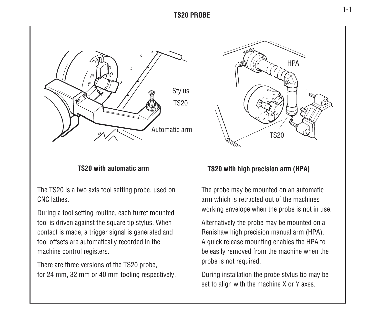#### **TS20 PROBE**



#### **TS20 with automatic arm**

The TS20 is a two axis tool setting probe, used on CNC lathes.

During a tool setting routine, each turret mounted tool is driven against the square tip stylus. When contact is made, a trigger signal is generated and tool offsets are automatically recorded in the machine control registers.

There are three versions of the TS20 probe, for 24 mm, 32 mm or 40 mm tooling respectively.



#### **TS20 with high precision arm (HPA)**

The probe may be mounted on an automatic arm which is retracted out of the machinesworking envelope when the probe is not in use.

Alternatively the probe may be mounted on a Renishaw high precision manual arm (HPA). A quick release mounting enables the HPA to be easily removed from the machine when the probe is not required.

During installation the probe stylus tip may be set to align with the machine X or Y axes.

1-1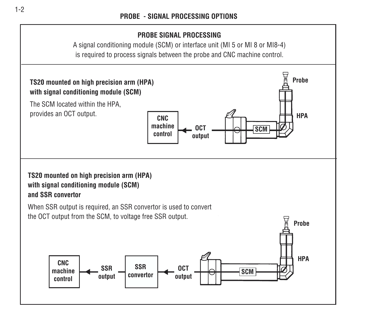## **PROBE SIGNAL PROCESSING**

A signal conditioning module (SCM) or interface unit (MI 5 or MI 8 or MI8-4) is required to process signals between the probe and CNC machine control.

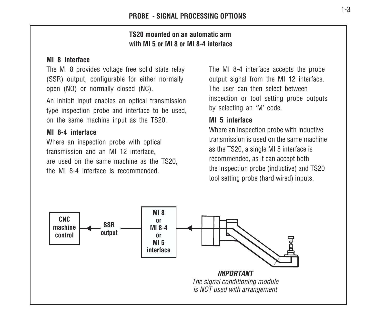### **TS20 mounted on an automatic armwith MI 5 or MI 8 or MI 8-4 interface**

#### **MI 8 interface**

The MI 8 provides voltage free solid state relay (SSR) output, configurable for either normally open (NO) or normally closed (NC).

An inhibit input enables an optical transmission type inspection probe and interface to be used, on the same machine input as the TS20.

#### **MI 8-4 interface**

Where an inspection probe with optical transmission and an MI 12 interface, are used on the same machine as the TS20, the MI 8-4 interface is recommended.

The MI 8-4 interface accepts the probe output signal from the MI 12 interface. The user can then select betweeninspection or tool setting probe outputs by selecting an 'M' code.

#### **MI 5 interface**

Where an inspection probe with inductive transmission is used on the same machineas the TS20, a single MI 5 interface is recommended, as it can accept both the inspection probe (inductive) and TS20 tool setting probe (hard wired) inputs.

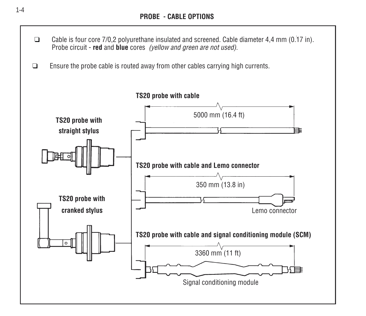- $\Box$  Cable is four core 7/0,2 polyurethane insulated and screened. Cable diameter 4,4 mm (0.17 in). Probe circuit - **red** and **blue** cores (yellow and green are not used).
- ❑Ensure the probe cable is routed away from other cables carrying high currents.

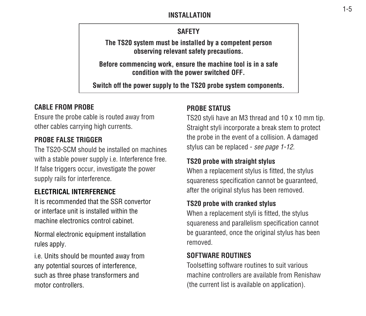#### **INSTALLATION**

## **SAFETY**

**The TS20 system must be installed by a competent person observing relevant safety precautions.**

**Before commencing work, ensure the machine tool is in a safe condition with the power switched OFF.**

**Switch off the power supply to the TS20 probe system components.**

# **CABLE FROM PROBE**

Ensure the probe cable is routed away from other cables carrying high currents.

#### **PROBE FALSE TRIGGER**

The TS20-SCM should be installed on machineswith a stable power supply i.e. Interference free. If false triggers occur, investigate the power supply rails for interference.

# **ELECTRICAL INTERFERENCE**

It is recommended that the SSR convertoror interface unit is installed within themachine electronics control cabinet.

Normal electronic equipment installation rules apply.

i.e. Units should be mounted away from any potential sources of interference, such as three phase transformers and motor controllers.

## **PROBE STATUS**

TS20 styli have an M3 thread and 10 x 10 mm tip. Straight styli incorporate a break stem to protect the probe in the event of a collision. A damaged stylus can be replaced - see page 1-12.

## **TS20 probe with straight stylus**

When a replacement stylus is fitted, the stylus squareness specification cannot be quaranteed. after the original stylus has been removed.

#### **TS20 probe with cranked stylus**

When a replacement styli is fitted, the stylus squareness and parallelism specification cannot be guaranteed, once the original stylus has been removed.

#### **SOFTWARE ROUTINES**

Toolsetting software routines to suit various machine controllers are available from Renishaw(the current list is available on application).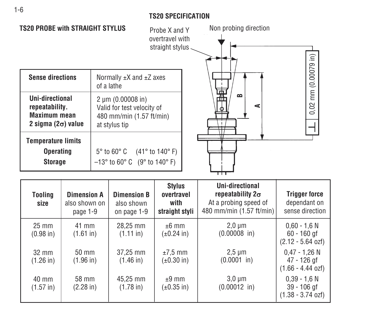#### **TS20 SPECIFICATION**

0,02 mm (0.00079 in) 0,02 mm (0.00079 in)



| Tooling<br>size                 | <b>Dimension A</b><br>also shown on<br>page 1-9 | <b>Dimension B</b><br>also shown<br>on page 1-9 | <b>Stylus</b><br>overtravel<br>with<br>straight styli | Uni-directional<br>repeatability $2\sigma$<br>At a probing speed of<br>480 mm/min (1.57 ft/min) | <b>Trigger force</b><br>dependant on<br>sense direction        |
|---------------------------------|-------------------------------------------------|-------------------------------------------------|-------------------------------------------------------|-------------------------------------------------------------------------------------------------|----------------------------------------------------------------|
| $25 \text{ mm}$<br>$(0.98)$ in) | 41 mm<br>$(1.61 \text{ in})$                    | 28.25 mm<br>$(1.11 \text{ in})$                 | $±6$ mm<br>$(\pm 0.24)$ in                            | $2.0 \mu m$<br>$(0.00008)$ in)                                                                  | $0.60 - 1.6 N$<br>$60 - 160$ gf<br>$(2.12 - 5.64 \text{ ozf})$ |
| $32 \text{ mm}$<br>$(1.26$ in)  | $50 \text{ mm}$<br>(1.96 in)                    | 37.25 mm<br>$(1.46 \text{ in})$                 | $±7.5$ mm<br>$(\pm 0.30)$ in)                         | $2,5 \mu m$<br>$(0.0001$ in)                                                                    | $0.47 - 1.26$ N<br>47 - 126 gf<br>$(1.66 - 4.44$ ozf)          |
| $40 \text{ mm}$<br>$(1.57)$ in  | 58 mm<br>$(2.28 \text{ in})$                    | 45.25 mm<br>$(1.78 \text{ in})$                 | $±9$ mm<br>(±0.35 in)                                 | $3.0 \mu m$<br>$(0.00012$ in)                                                                   | $0.39 - 1.6 N$<br>$39 - 106$ gf<br>$(1.38 - 3.74 \text{ ozf})$ |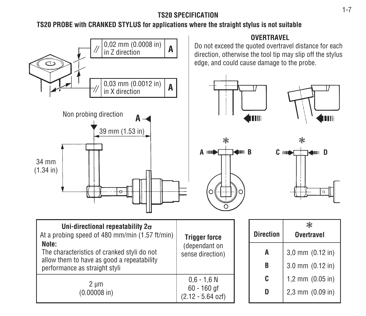## **TS20 SPECIFICATION**

# **TS20 PROBE with CRANKED STYLUS for applications where the straight stylus is not suitable**

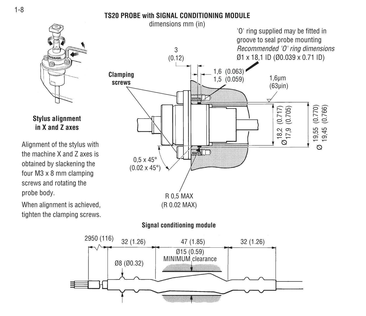#### **TS20 PROBE with SIGNAL CONDITIONING MODULE**



#### **Stylus alignment in X and Z axes**

Alignment of the stylus with the machine X and Z axes isobtained by slackening the four M3 x 8 mm clamping screws and rotating the probe body.

When alignment is achieved, tighten the clamping screws.



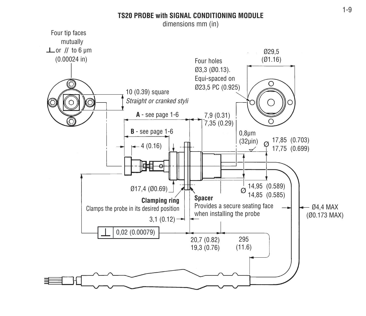#### **TS20 PROBE with SIGNAL CONDITIONING MODULE**

dimensions mm (in)

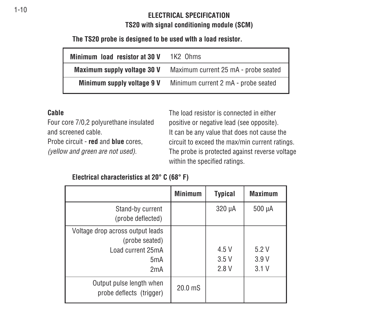# **ELECTRICAL SPECIFICATIONTS20 with signal conditioning module (SCM)**

**The TS20 probe is designed to be used wIth a load resistor.**

| Minimum load resistor at 30 V | 1K2 Ohms                             |  |
|-------------------------------|--------------------------------------|--|
| Maximum supply voltage 30 V   | Maximum current 25 mA - probe seated |  |
| Minimum supply voltage 9 V    | Minimum current 2 mA - probe seated  |  |

#### **Cable**

Four core 7/0,2 polyurethane insulated and screened cable.

Probe circuit - **red** and **blue** cores,

(yellow and green are not used).

The load resistor is connected in eitherpositive or negative lead (see opposite). It can be any value that does not cause the circuit to exceed the max/min current ratings. The probe is protected against reverse voltage within the specified ratings.

|  | Electrical characteristics at 20° C (68° F) |  |  |
|--|---------------------------------------------|--|--|
|--|---------------------------------------------|--|--|

|                                                                                                    | <b>Minimum</b>     | <b>Typical</b>        | <b>Maximum</b>       |
|----------------------------------------------------------------------------------------------------|--------------------|-----------------------|----------------------|
| Stand-by current<br>(probe deflected)                                                              |                    | 320 µA                | 500 µA               |
| Voltage drop across output leads<br>(probe seated)<br>Load current 25mA<br>5 <sub>m</sub> A<br>2mA |                    | 4.5 V<br>3.5V<br>2.8V | 5.2V<br>3.9V<br>3.1V |
| Output pulse length when<br>probe deflects (trigger)                                               | 20.0 <sub>ms</sub> |                       |                      |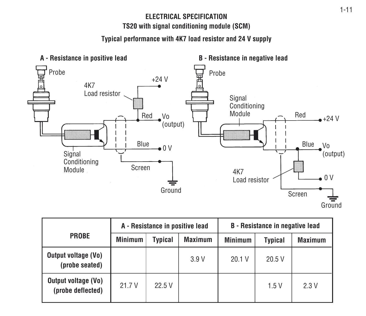## **ELECTRICAL SPECIFICATIONTS20 with signal conditioning module (SCM)**

#### **Typical performance with 4K7 load resistor and 24 V supply**



|                                                 | A - Resistance in positive lead |                |                | <b>B</b> - Resistance in negative lead |         |                |
|-------------------------------------------------|---------------------------------|----------------|----------------|----------------------------------------|---------|----------------|
| <b>PROBE</b>                                    | <b>Minimum</b>                  | <b>Typical</b> | <b>Maximum</b> | <b>Minimum</b>                         | Typical | <b>Maximum</b> |
| <b>Output voltage (Vo)</b><br>(probe seated)    |                                 |                | 3.9V           | 20.1 V                                 | 20.5V   |                |
| <b>Output voltage (Vo)</b><br>(probe deflected) | 21.7V                           | 22.5V          |                |                                        | 1.5V    | 2.3 V          |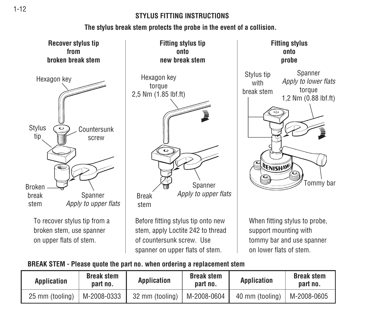### **STYLUS FITTING INSTRUCTIONS**

## **The stylus break stem protects the probe in the event of a collision.**





When fitting stylus to probe, support mounting with tommy bar and use spanner on lower flats of stem.

#### **BREAK STEM - Please quote the part no. when ordering a replacement stem**

| Application     | <b>Break stem</b><br>part no. | <b>Application</b> | <b>Break stem</b><br>part no. | Application     | <b>Break stem</b><br>part no. |
|-----------------|-------------------------------|--------------------|-------------------------------|-----------------|-------------------------------|
| 25 mm (tooling) | M-2008-0333                   | 32 mm (tooling)    | M-2008-0604                   | 40 mm (tooling) | $M-2008-0605$                 |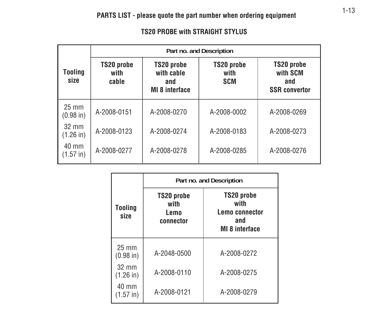#### **TS20 PROBE with STRAIGHT STYLUS**

|                                 | Part no. and Description    |                                                          |                                  |                                                       |  |  |  |
|---------------------------------|-----------------------------|----------------------------------------------------------|----------------------------------|-------------------------------------------------------|--|--|--|
| Tooling<br>size                 | TS20 probe<br>with<br>cable | TS20 probe<br>with cable<br>and<br><b>MI 8 interface</b> | TS20 probe<br>with<br><b>SCM</b> | TS20 probe<br>with SCM<br>and<br><b>SSR</b> convertor |  |  |  |
| $25 \text{ mm}$<br>$(0.98)$ in) | A-2008-0151                 | A-2008-0270                                              | A-2008-0002                      | A-2008-0269                                           |  |  |  |
| $32 \text{ mm}$<br>$(1.26)$ in  | A-2008-0123                 | A-2008-0274                                              | A-2008-0183                      | A-2008-0273                                           |  |  |  |
| 40 mm<br>$(1.57 \text{ in})$    | A-2008-0277                 | A-2008-0278                                              | A-2008-0285                      | A-2008-0276                                           |  |  |  |

|                                | Part no. and Description                |                                                                      |  |  |  |  |
|--------------------------------|-----------------------------------------|----------------------------------------------------------------------|--|--|--|--|
| Tooling<br>size                | TS20 probe<br>with<br>Lemo<br>connector | TS20 probe<br>with<br>Lemo connector<br>and<br><b>MI 8 interface</b> |  |  |  |  |
| $25 \text{ mm}$<br>$(0.98)$ in | A-2048-0500                             | A-2008-0272                                                          |  |  |  |  |
| 32 mm<br>$(1.26)$ in           | A-2008-0110                             | A-2008-0275                                                          |  |  |  |  |
| 40 mm<br>$(1.57 \text{ in})$   | A-2008-0121                             | A-2008-0279                                                          |  |  |  |  |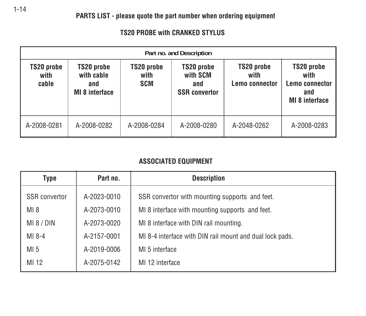#### **TS20 PROBE with CRANKED STYLUS**

|                             | Part no. and Description                                 |                                  |                                                       |                                      |                                                                      |  |  |
|-----------------------------|----------------------------------------------------------|----------------------------------|-------------------------------------------------------|--------------------------------------|----------------------------------------------------------------------|--|--|
| TS20 probe<br>with<br>cable | TS20 probe<br>with cable<br>and<br><b>MI 8 interface</b> | TS20 probe<br>with<br><b>SCM</b> | TS20 probe<br>with SCM<br>and<br><b>SSR</b> convertor | TS20 probe<br>with<br>Lemo connector | TS20 probe<br>with<br>Lemo connector<br>and<br><b>MI 8 interface</b> |  |  |
| A-2008-0281                 | A-2008-0282                                              | A-2008-0284                      | A-2008-0280                                           | A-2048-0262                          | A-2008-0283                                                          |  |  |

## **ASSOCIATED EQUIPMENT**

| Type                 | Part no.    | <b>Description</b>                                       |  |  |
|----------------------|-------------|----------------------------------------------------------|--|--|
| <b>SSR</b> convertor | A-2023-0010 | SSR convertor with mounting supports and feet.           |  |  |
| $MI_8$               | A-2073-0010 | MI 8 interface with mounting supports and feet.          |  |  |
| MI 8 / DIN           | A-2073-0020 | MI 8 interface with DIN rail mounting.                   |  |  |
| $MI$ 8-4             | A-2157-0001 | MI 8-4 interface with DIN rail mount and dual lock pads. |  |  |
| MI <sub>5</sub>      | A-2019-0006 | MI 5 interface                                           |  |  |
| MI 12                | A-2075-0142 | MI 12 interface                                          |  |  |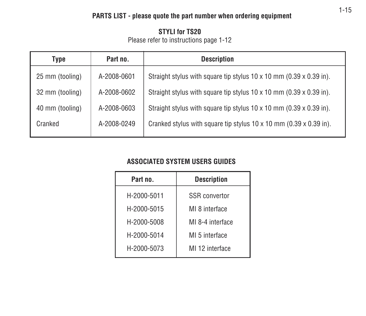# **PARTS LIST - please quote the part number when ordering equipment**

#### **STYLI for TS20**Please refer to instructions page 1-12

| Type            | Part no.    | <b>Description</b>                                                                |  |  |
|-----------------|-------------|-----------------------------------------------------------------------------------|--|--|
| 25 mm (tooling) | A-2008-0601 | Straight stylus with square tip stylus $10 \times 10$ mm (0.39 $\times$ 0.39 in). |  |  |
| 32 mm (tooling) | A-2008-0602 | Straight stylus with square tip stylus $10 \times 10$ mm (0.39 $\times$ 0.39 in). |  |  |
| 40 mm (tooling) | A-2008-0603 | Straight stylus with square tip stylus $10 \times 10$ mm (0.39 $\times$ 0.39 in). |  |  |
| Cranked         | A-2008-0249 | Cranked stylus with square tip stylus $10 \times 10$ mm (0.39 $\times$ 0.39 in).  |  |  |

## **ASSOCIATED SYSTEM USERS GUIDES**

| Part no.    | <b>Description</b>   |  |  |
|-------------|----------------------|--|--|
| H-2000-5011 | <b>SSR</b> convertor |  |  |
| H-2000-5015 | MI 8 interface       |  |  |
| H-2000-5008 | MI 8-4 interface     |  |  |
| H-2000-5014 | MI 5 interface       |  |  |
| H-2000-5073 | MI 12 interface      |  |  |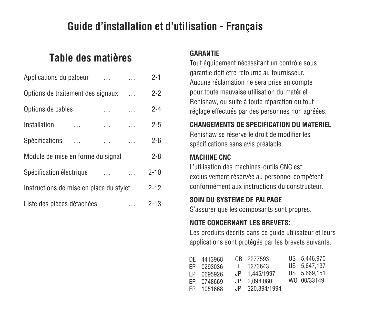# **Guide d'installation et d'utilisation - Français**

# **Table des matières**

| Applications du palpeur                 | .        |   | $2 - 1$  |
|-----------------------------------------|----------|---|----------|
| Options de traitement des signaux       |          |   | $2 - 2$  |
| Options de cables                       | .        |   | $2 - 4$  |
| Installation                            |          |   | $2 - 5$  |
| Spécifications                          | .        |   | $2-6$    |
| Module de mise en forme du signal       |          |   | $2 - 8$  |
| Spécification électrique                |          |   | $2 - 10$ |
| Instructions de mise en place du stylet | $2 - 12$ |   |          |
| Liste des pièces détachées              |          | . | $2 - 13$ |

## **GARANTIE**

Tout équipement nécessitant un contrôle sous garantie doit être retourné au fournisseur. Aucune réclamation ne sera prise en compte pour toute mauvaise utilisation du matériel Renishaw, ou suite à toute réparation ou tout réglage effectués par des personnes non agréées.

#### **CHANGEMENTS DE SPECIFICATION DU MATERIEL**

Renishaw se réserve le droit de modifier lesspécifications sans avis préalable.

## **MACHINE CNC**

L'utilisation des machines-outils CNC estexclusivement réservée au personnel compétent conformément aux instructions du constructeur.

# **SOIN DU SYSTEME DE PALPAGE**

S'assurer que les composants sont propres.

# **NOTE CONCERNANT LES BREVETS:**

Les produits décrits dans ce guide utilisateur et leurs applications sont protégés par les brevets suivants.

|     | DE 4413968 | GB 2277593      | US 5.446,970 |
|-----|------------|-----------------|--------------|
| FP. | 0293036    | IT 1273643      | US 5.647.137 |
| FP. | 0695926    | JP 1.445/1997   | US 5.669.151 |
| FP. | 0748669    | JP 2.098.080    | WO 00/33149  |
| FP. | 1051668    | JP 320.394/1994 |              |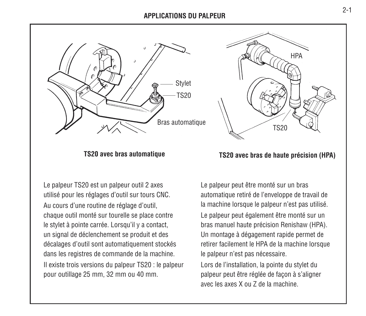#### **APPLICATIONS DU PALPEUR**



Le palpeur TS20 est un palpeur outil 2 axes utilisé pour les réglages d'outil sur tours CNC. Au cours d'une routine de réglage d'outil, chaque outil monté sur tourelle se place contre le stylet à pointe carrée. Lorsqu'il y a contact, un signal de déclenchement se produit et des décalages d'outil sont automatiquement stockés dans les registres de commande de la machine. Il existe trois versions du palpeur TS20 : le palpeur pour outillage 25 mm, 32 mm ou 40 mm.



# **TS20 avec bras automatique TS20 avec bras de haute précision (HPA)**

Le palpeur peut être monté sur un bras automatique retiré de l'enveloppe de travail de la machine lorsque le palpeur n'est pas utilisé. Le palpeur peut également être monté sur un bras manuel haute précision Renishaw (HPA). Un montage à dégagement rapide permet de retirer facilement le HPA de la machine lorsque le palpeur n'est pas nécessaire.

Lors de l'installation, la pointe du stylet du palpeur peut être réglée de façon à s'aligner avec les axes X ou Z de la machine.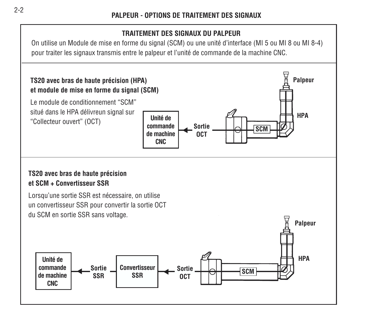## **TRAITEMENT DES SIGNAUX DU PALPEUR**

On utilise un Module de mise en forme du signal (SCM) ou une unité d'interface (MI 5 ou MI 8 ou MI 8-4) pour traiter les signaux transmis entre le palpeur et l'unité de commande de la machine CNC.

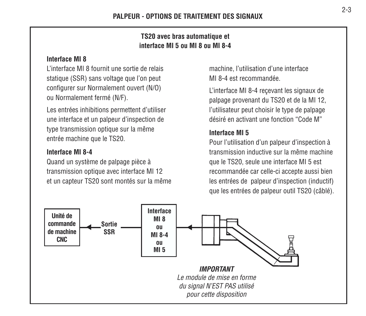#### **TS20 avec bras automatique et interface MI 5 ou MI 8 ou MI 8-4**

#### **Interface MI 8**

L'interface MI 8 fournit une sortie de relaisstatique (SSR) sans voltage que l'on peut configurer sur Normalement ouvert (N/O) ou Normalement fermé (N/F).

Les entrées inhibitions permettent d'utiliser une interface et un palpeur d'inspection de type transmission optique sur la même entrée machine que le TS20.

#### **Interface MI 8-4**

Quand un système de palpage pièce à transmission optique avec interface MI 12 et un capteur TS20 sont montés sur la même machine, l'utilisation d'une interface MI 8-4 est recommandée.

L'interface MI 8-4 reçevant les signaux de palpage provenant du TS20 et de la MI 12, l'utilisateur peut choisir le type de palpage désiré en activant une fonction "Code M"

#### **Interface MI 5**

Pour l'utilisation d'un palpeur d'inspection à transmission inductive sur la même machineque le TS20, seule une interface MI 5 est recommandée car celle-ci accepte aussi bien les entrées de palpeur d'inspection (inductif) que les entrées de palpeur outil TS20 (câblé).

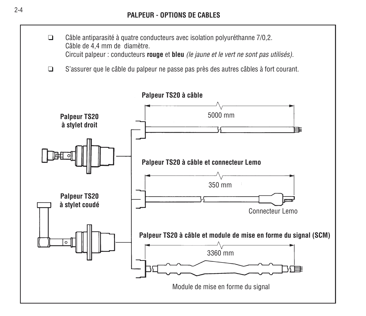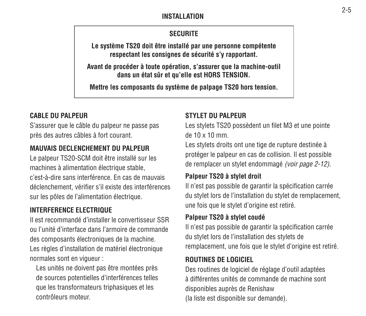#### **INSTALLATION**

## **SECURITE**

**Le système TS20 doit être installé par une personne compétente respectant les consignes de sécurité s'y rapportant.**

**Avant de procéder à toute opération, s'assurer que la machine-outil dans un état sûr et qu'elle est HORS TENSION.**

**Mettre les composants du système de palpage TS20 hors tension.**

## **CABLE DU PALPEUR**

S'assurer que le câble du palpeur ne passe pas près des autres câbles à fort courant.

## **MAUVAIS DECLENCHEMENT DU PALPEUR**

Le palpeur TS20-SCM doit être installé sur les machines à alimentation électrique stable, c'est-à-dire sans interférence. En cas de mauvaisdéclenchement, vérifier s'il existe des interférences sur les pôles de l'alimentation électrique.

## **INTERFERENCE ELECTRIQUE**

Il est recommandé d'installer le convertisseur SSRou l'unité d'interface dans l'armoire de commandedes composants électroniques de la machine. Les règles d'installation de matériel électronique normales sont en vigueur :

Les unités ne doivent pas être montées près de sources potentielles d'interférences telles que les transformateurs triphasiques et les contrôleurs moteur.

#### **STYLET DU PALPEUR**

Les stylets TS20 possèdent un filet M3 et une pointe de 10 x 10 mm.

Les stylets droits ont une tige de rupture destinée à protéger le palpeur en cas de collision. Il est possible de remplacer un stylet endommagé (voir page 2-12).

#### **Palpeur TS20 à stylet droit**

Il n'est pas possible de garantir la spécification carrée du stylet lors de l'installation du stylet de remplacement, une fois que le stylet d'origine est retiré.

#### **Palpeur TS20 à stylet coudé**

Il n'est pas possible de garantir la spécification carrée du stylet lors de l'installation des stylets de remplacement, une fois que le stylet d'origine est retiré.

#### **ROUTINES DE LOGICIEL**

Des routines de logiciel de réglage d'outil adaptées à différentes unités de commande de machine sontdisponibles auprès de Renishaw (la liste est disponible sur demande).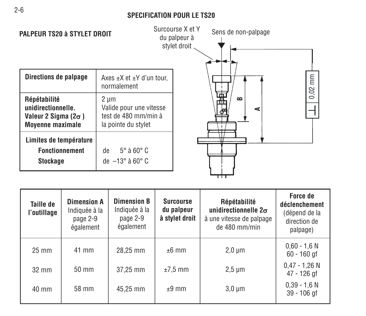#### **SPECIFICATION POUR LE TS20**



| Taille de<br>l'outillage | <b>Dimension A</b><br>Indiquée à la<br>page 2-9<br>également | <b>Dimension B</b><br>Indiquée à la<br>page 2-9<br>également | <b>Surcourse</b><br>du palpeur<br>à stylet droit | Répétabilité<br>unidirectionnelle $2\sigma$<br>à une vitesse de palpage<br>de 480 mm/min | Force de<br>déclenchement<br>(dépend de la<br>direction de<br>palpage) |
|--------------------------|--------------------------------------------------------------|--------------------------------------------------------------|--------------------------------------------------|------------------------------------------------------------------------------------------|------------------------------------------------------------------------|
| $25 \text{ mm}$          | 41 mm                                                        | 28,25 mm                                                     | $±6$ mm                                          | $2.0 \mu m$                                                                              | $0.60 - 1.6 N$<br>$60 - 160$ gf                                        |
| $32 \text{ mm}$          | $50 \text{ mm}$                                              | 37.25 mm                                                     | $±7.5$ mm                                        | $2,5 \mu m$                                                                              | $0.47 - 1.26$ N<br>47 - 126 gf                                         |
| 40 mm                    | 58 mm                                                        | 45,25 mm                                                     | $±9$ mm                                          | $3,0 \mu m$                                                                              | $0.39 - 1.6 N$<br>$39 - 106$ gf                                        |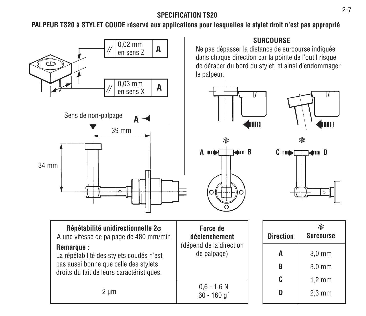## **SPECIFICATION TS20**

**PALPEUR TS20 à STYLET COUDE réservé aux applications pour lesquelles le stylet droit n'est pas approprié**

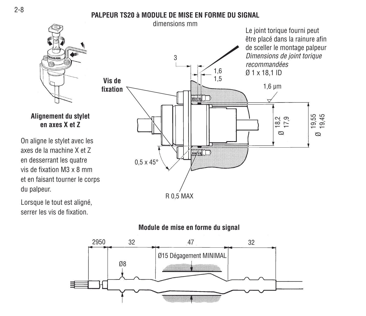## **PALPEUR TS20 à MODULE DE MISE EN FORME DU SIGNAL**



**Alignement du stylet en axes X et Z**

On aligne le stylet avec les axes de la machine X et Zen desserrant les quatre vis de fixation M3 x 8 mmet en faisant tourner le corps du palpeur.

Lorsque le tout est aligné, serrer les vis de fixation.



## **Module de mise en forme du signal**

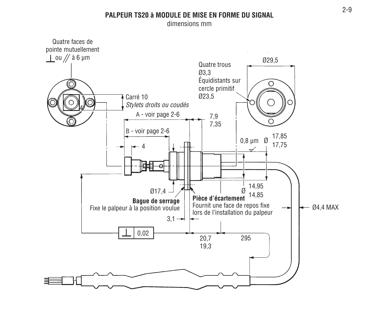#### **PALPEUR TS20 à MODULE DE MISE EN FORME DU SIGNAL**

dimensions mm

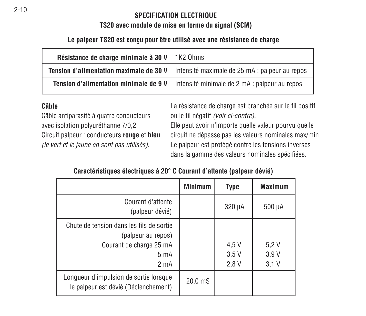#### **SPECIFICATION ELECTRIQUE**

#### **TS20 avec module de mise en forme du signal (SCM)**

## **Le palpeur TS20 est conçu pour être utilisé avec une résistance de charge**

| Résistance de charge minimale à 30 V    | 1K2 Ohms                                       |  |  |
|-----------------------------------------|------------------------------------------------|--|--|
| Tension d'alimentation maximale de 30 V | Intensité maximale de 25 mA : palpeur au repos |  |  |
| Tension d'alimentation minimale de 9 V  | Intensité minimale de 2 mA : palpeur au repos  |  |  |

#### **Câble**

Câble antiparasité à quatre conducteurs avec isolation polyuréthanne 7/0,2. Circuit palpeur : conducteurs **rouge** et **bleu** (le vert et le jaune en sont pas utilisés).

La résistance de charge est branchée sur le fil positif ou le fil négatif (voir ci-contre).

Elle peut avoir n'importe quelle valeur pourvu que le circuit ne dépasse pas les valeurs nominales max/min. Le palpeur est protégé contre les tensions inverses dans la gamme des valeurs nominales spécifiées.

## **Caractéristiques électriques à 20° C Courant d'attente (palpeur dévié)**

|                                                                                                                                   | <b>Minimum</b>     | <b>Type</b>           | <b>Maximum</b>       |
|-----------------------------------------------------------------------------------------------------------------------------------|--------------------|-----------------------|----------------------|
| Courant d'attente<br>(palpeur dévié)                                                                                              |                    | $320 \mu A$           | $500 \mu A$          |
| Chute de tension dans les fils de sortie<br>(palpeur au repos)<br>Courant de charge 25 mA<br>5 <sub>m</sub> A<br>2 <sub>m</sub> A |                    | 4,5 V<br>3.5V<br>2.8V | 5.2V<br>3.9V<br>3.1V |
| Longueur d'impulsion de sortie lorsque<br>le palpeur est dévié (Déclenchement)                                                    | $20.0 \text{ m}$ S |                       |                      |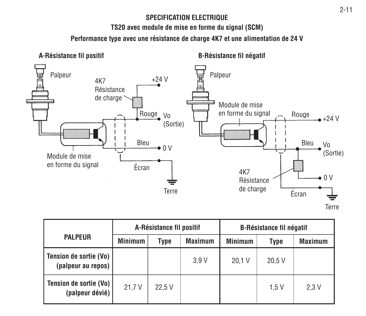# **SPECIFICATION ELECTRIQUE**

**TS20 avec module de mise en forme du signal (SCM)**

**Performance type avec une résistance de charge 4K7 et une alimentation de 24 V**



|                                                | A-Résistance fil positif |        |                | <b>B-Résistance fil négatif</b> |       |                |
|------------------------------------------------|--------------------------|--------|----------------|---------------------------------|-------|----------------|
| <b>PALPEUR</b>                                 | <b>Minimum</b>           | Type   | <b>Maximum</b> | <b>Minimum</b>                  | Type  | <b>Maximum</b> |
| Tension de sortie (Vo)  <br>(palpeur au repos) |                          |        | 3.9V           | 20.1V                           | 20.5V |                |
| Tension de sortie (Vo)  <br>(palpeur dévié)    | 21.7V                    | 22.5 V |                |                                 | 1.5V  | 2.3V           |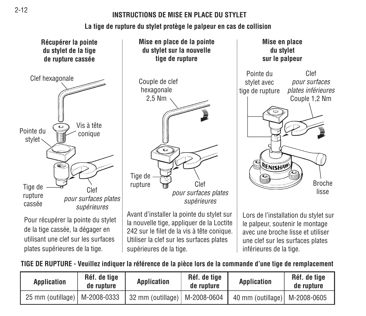#### **INSTRUCTIONS DE MISE EN PLACE DU STYLET**

# **La tige de rupture du stylet protège le palpeur en cas de collision**



de la tige cassée, la dégager en utilisant une clef sur les surfacesplates supérieures de la tige.

**Mise en place de la pointe du stylet sur la nouvelle tige de rupture**

Couple de clef hexagonale 2,5 Nm Tige de rupture **Clef** pour surfaces plates supérieures

Avant d'installer la pointe du stylet sur la nouvelle tige, appliquer de la Loctite 242 sur le filet de la vis à tête conique. Utiliser la clef sur les surfaces plates supérieures de la tige.

**Mise en place du stylet sur le palpeur** ClefPointe dustylet avec pour surfaces tige de ruptureplates inférieures Couple 1,2 Nm RENISHAW Brochelisse

Lors de l'installation du stylet sur le palpeur, soutenir le montage avec une broche lisse et utiliserune clef sur les surfaces plates inférieures de la tige.

# **TIGE DE RUPTURE - Veuillez indiquer la référence de la pièce lors de la commande d'une tige de remplacement**

| Application                     | Réf. de tige<br>de rupture | <b>Application</b>              | Réf. de tige<br>de rupture | <b>Application</b>              | Réf. de tige<br>de rupture |
|---------------------------------|----------------------------|---------------------------------|----------------------------|---------------------------------|----------------------------|
| 25 mm (outillage)   M-2008-0333 |                            | 32 mm (outillage)   M-2008-0604 |                            | 40 mm (outillage)   M-2008-0605 |                            |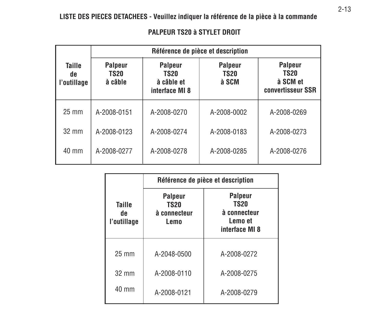|                             | Référence de pièce et description                                                                  |             |                                        |                                                                |  |  |
|-----------------------------|----------------------------------------------------------------------------------------------------|-------------|----------------------------------------|----------------------------------------------------------------|--|--|
| Taille<br>de<br>l'outillage | <b>Palpeur</b><br><b>Palpeur</b><br><b>TS20</b><br>TS20<br>à câble<br>à câble et<br>interface MI 8 |             | <b>Palpeur</b><br><b>TS20</b><br>à SCM | <b>Palpeur</b><br><b>TS20</b><br>à SCM et<br>convertisseur SSR |  |  |
| $25 \text{ mm}$             | A-2008-0151                                                                                        | A-2008-0270 | A-2008-0002                            | A-2008-0269                                                    |  |  |
| $32 \text{ mm}$             | A-2008-0123                                                                                        | A-2008-0274 | A-2008-0183                            | A-2008-0273                                                    |  |  |
| 40 mm                       | A-2008-0277                                                                                        | A-2008-0278 | A-2008-0285                            | A-2008-0276                                                    |  |  |

#### **PALPEUR TS20 à STYLET DROIT**

|                                     | Référence de pièce et description              |                                                                            |  |  |  |
|-------------------------------------|------------------------------------------------|----------------------------------------------------------------------------|--|--|--|
| <b>Taille</b><br>de.<br>l'outillage | Palpeur<br><b>TS20</b><br>à connecteur<br>Lemo | <b>Palpeur</b><br><b>TS20</b><br>à connecteur<br>Lemo et<br>interface MI 8 |  |  |  |
| $25 \text{ mm}$                     | A-2048-0500                                    | A-2008-0272                                                                |  |  |  |
| $32 \text{ mm}$                     | A-2008-0110                                    | A-2008-0275                                                                |  |  |  |
| $40 \text{ mm}$                     | A-2008-0121                                    | A-2008-0279                                                                |  |  |  |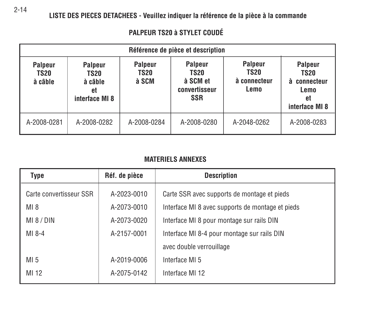**LISTE DES PIECES DETACHEES - Veuillez indiquer la référence de la pièce à la commande**

|                                          | Référence de pièce et description                         |                                        |                                                                          |                                                       |                                                                    |  |  |
|------------------------------------------|-----------------------------------------------------------|----------------------------------------|--------------------------------------------------------------------------|-------------------------------------------------------|--------------------------------------------------------------------|--|--|
| <b>Palpeur</b><br><b>TS20</b><br>à câble | <b>Palpeur</b><br>TS20<br>à câble<br>et<br>interface MI 8 | <b>Palpeur</b><br><b>TS20</b><br>à SCM | <b>Palpeur</b><br><b>TS20</b><br>à SCM et<br>convertisseur<br><b>SSR</b> | <b>Palpeur</b><br><b>TS20</b><br>à connecteur<br>Lemo | Palpeur<br>TS20<br>connecteur<br>à<br>Lemo<br>et<br>interface MI 8 |  |  |
| A-2008-0281                              | A-2008-0282                                               | A-2008-0284                            | A-2008-0280                                                              | A-2048-0262                                           | A-2008-0283                                                        |  |  |

#### **PALPEUR TS20 à STYLET COUDÉ**

# **MATERIELS ANNEXES**

| Type                    | Réf. de pièce | <b>Description</b>                               |
|-------------------------|---------------|--------------------------------------------------|
| Carte convertisseur SSR | A-2023-0010   | Carte SSR avec supports de montage et pieds      |
| MI 8                    | A-2073-0010   | Interface MI 8 avec supports de montage et pieds |
| M18/DIN                 | A-2073-0020   | Interface MI 8 pour montage sur rails DIN        |
| MI 8-4                  | A-2157-0001   | Interface MI 8-4 pour montage sur rails DIN      |
|                         |               | avec double verrouillage                         |
| MI <sub>5</sub>         | A-2019-0006   | Interface MI 5                                   |
| MI 12                   | A-2075-0142   | Interface MI 12                                  |
|                         |               |                                                  |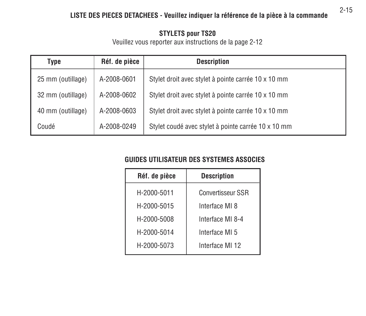# **LISTE DES PIECES DETACHEES - Veuillez indiquer la référence de la pièce à la commande**

#### **STYLETS pour TS20**

Veuillez vous reporter aux instructions de la page 2-12

| Type              | Réf. de pièce | <b>Description</b>                                  |
|-------------------|---------------|-----------------------------------------------------|
| 25 mm (outillage) | A-2008-0601   | Stylet droit avec stylet à pointe carrée 10 x 10 mm |
| 32 mm (outillage) | A-2008-0602   | Stylet droit avec stylet à pointe carrée 10 x 10 mm |
| 40 mm (outillage) | A-2008-0603   | Stylet droit avec stylet à pointe carrée 10 x 10 mm |
| Coudé             | A-2008-0249   | Stylet coudé avec stylet à pointe carrée 10 x 10 mm |

# **GUIDES UTILISATEUR DES SYSTEMES ASSOCIES**

| Réf. de pièce | <b>Description</b>       |
|---------------|--------------------------|
| H-2000-5011   | <b>Convertisseur SSR</b> |
| H-2000-5015   | Interface MI 8           |
| H-2000-5008   | Interface MI 8-4         |
| H-2000-5014   | Interface MI 5           |
| H-2000-5073   | Interface MI 12          |

2-15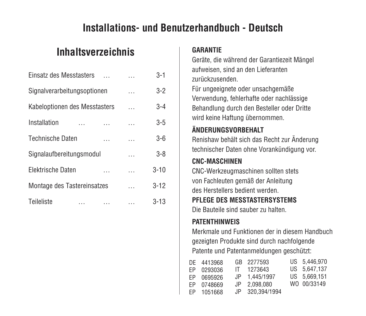# **Installations- und Benutzerhandbuch - Deutsch**

# **Inhaltsverzeichnis**

| Einsatz des Messtasters       |          |   | $3 - 1$  |
|-------------------------------|----------|---|----------|
| Signalverarbeitungsoptionen   |          |   | $3 - 2$  |
| Kabeloptionen des Messtasters |          |   | $3 - 4$  |
| Installation                  |          |   | $3 - 5$  |
| <b>Technische Daten</b>       |          |   | $3-6$    |
| Signalaufbereitungsmodul      |          | . | $3 - 8$  |
| Elektrische Daten             |          |   | $3 - 10$ |
| Montage des Tastereinsatzes   |          |   | $3 - 12$ |
| Teileliste<br>.               | $\cdots$ |   | $3 - 13$ |

#### **GARANTIE**

Geräte, die während der Garantiezeit Mängel aufweisen, sind an den Lieferanten zurückzusenden.

Für ungeeignete oder unsachgemäße Verwendung, fehlerhafte oder nachlässige Behandlung durch den Besteller oder Dritte wird keine Haftung übernommen.

# **ÄNDERUNGSVORBEHALT**

Renishaw behält sich das Recht zur Änderung technischer Daten ohne Vorankündigung vor.

# **CNC-MASCHINEN**

CNC-Werkzeugmaschinen sollten stets von Fachleuten gemäß der Anleitung des Herstellers bedient werden.

# **PFLEGE DES MESSTASTERSYSTEMS**

Die Bauteile sind sauber zu halten.

# **PATENTHINWEIS**

Merkmale und Funktionen der in diesem Handbuchgezeigten Produkte sind durch nachfolgende Patente und Patentanmeldungen geschützt:

| DE 4413968 | GB 2277593      | US 5.446,970 |
|------------|-----------------|--------------|
| EP 0293036 | IT 1273643      | US 5.647.137 |
| EP 0695926 | JP 1.445/1997   | US 5.669.151 |
| EP 0748669 | JP 2.098.080    | WO 00/33149  |
| EP 1051668 | JP 320.394/1994 |              |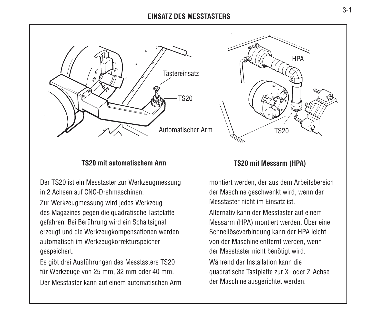#### **EINSATZ DES MESSTASTERS**



#### **TS20 mit automatischem Arm**

Der TS20 ist ein Messtaster zur Werkzeugmessung in 2 Achsen auf CNC-Drehmaschinen.

Zur Werkzeugmessung wird jedes Werkzeug des Magazines gegen die quadratische Tastplatte gefahren. Bei Berührung wird ein Schaltsignal erzeugt und die Werkzeugkompensationen werden automatisch im Werkzeugkorrekturspeicher gespeichert.

Es gibt drei Ausführungen des Messtasters TS20 für Werkzeuge von 25 mm, 32 mm oder 40 mm.

Der Messtaster kann auf einem automatischen Arm



#### **TS20 mit Messarm (HPA)**

montiert werden, der aus dem Arbeitsbereich der Maschine geschwenkt wird, wenn der Messtaster nicht im Einsatz ist.

Alternativ kann der Messtaster auf einemMessarm (HPA) montiert werden. Über eine Schnellöseverbindung kann der HPA leicht von der Maschine entfernt werden, wenn der Messtaster nicht benötigt wird.

Während der Installation kann diequadratische Tastplatte zur X- oder Z-Achse der Maschine ausgerichtet werden.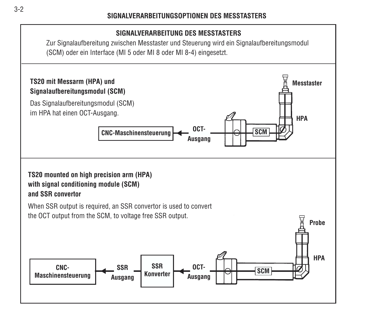# **SIGNALVERARBEITUNG DES MESSTASTERS**

Zur Signalaufbereitung zwischen Messtaster und Steuerung wird ein Signalaufbereitungsmodul (SCM) oder ein Interface (MI 5 oder MI 8 oder MI 8-4) eingesetzt.

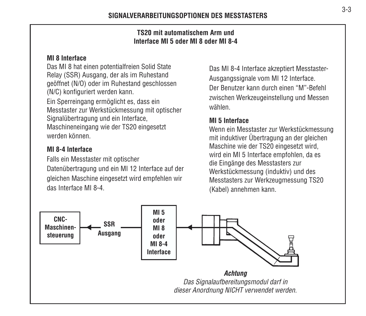#### **TS20 mit automatischem Arm undInterface MI 5 oder MI 8 oder MI 8-4**

#### **MI 8 Interface**

Das MI 8 hat einen potentialfreien Solid State Relay (SSR) Ausgang, der als im Ruhestand geöffnet (N/O) oder im Ruhestand geschlossen (N/C) konfiguriert werden kann.

Ein Sperreingang ermöglicht es, dass ein Messtaster zur Werkstückmessung mit optischer Signalübertragung und ein Interface, Maschineneingang wie der TS20 eingesetzt werden können.

# **MI 8-4 Interface**

Falls ein Messtaster mit optischer Datenübertragung und ein MI 12 Interface auf der gleichen Maschine eingesetzt wird empfehlen wir das Interface MI 8-4.

Das MI 8-4 Interface akzeptiert Messtaster-Ausgangssignale vom MI 12 Interface. Der Benutzer kann durch einen "M"-Befehlzwischen Werkzeugeinstellung und Messen wählen.

# **MI 5 Interface**

Wenn ein Messtaster zur Werkstückmessung mit induktiver Übertragung an der gleichen Maschine wie der TS20 eingesetzt wird, wird ein MI 5 Interface empfohlen, da es die Eingänge des Messtasters zur Werkstückmessung (induktiv) und des Messtasters zur Werkzeugmessung TS20 (Kabel) annehmen kann.

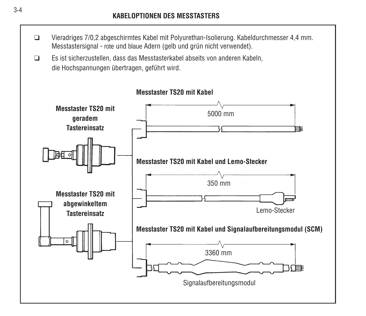- ❑ Vieradriges 7/0,2 abgeschirmtes Kabel mit Polyurethan-Isolierung. Kabeldurchmesser 4,4 mm. Messtastersignal - rote und blaue Adern (gelb und grün nicht verwendet).
- ❑ Es ist sicherzustellen, dass das Messtasterkabel abseits von anderen Kabeln, die Hochspannungen übertragen, geführt wird.

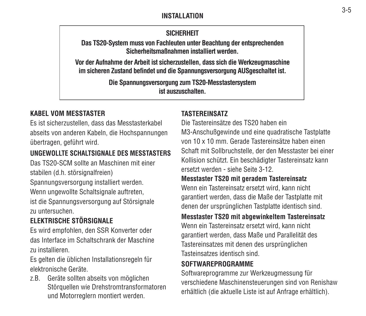### **INSTALLATION**

# **SICHERHEIT**

**Das TS20-System muss von Fachleuten unter Beachtung der entsprechenden Sicherheitsmaßnahmen installiert werden.**

**Vor der Aufnahme der Arbeit ist sicherzustellen, dass sich die Werkzeugmaschine im sicheren Zustand befindet und die Spannungsversorgung AUSgeschaltet ist.**

> **Die Spannungsversorgung zum TS20-Messtastersystem ist auszuschalten.**

# **KABEL VOM MESSTASTER**

Es ist sicherzustellen, dass das Messtasterkabel abseits von anderen Kabeln, die Hochspannungen übertragen, geführt wird.

# **UNGEWOLLTE SCHALTSIGNALE DES MESSTASTERS**

Das TS20-SCM sollte an Maschinen mit einerstabilen (d.h. störsignalfreien)

Spannungsversorgung installiert werden. Wenn ungewollte Schaltsignale auftreten. ist die Spannungsversorgung auf Störsignale zu untersuchen.

# **ELEKTRISCHE STÖRSIGNALE**

Es wird empfohlen, den SSR Konverter oder das Interface im Schaltschrank der Maschinezu installieren.

Es gelten die üblichen Installationsregeln für elektronische Geräte.

z.B. Geräte sollten abseits von möglichen Störquellen wie Drehstromtransformatoren und Motorreglern montiert werden.

# **TASTEREINSATZ**

Die Tastereinsätze des TS20 haben einM3-Anschußgewinde und eine quadratische Tastplatte von 10 x 10 mm. Gerade Tastereinsätze haben einenSchaft mit Sollbruchstelle, der den Messtaster bei einer Kollision schützt. Ein beschädigter Tastereinsatz kann ersetzt werden - siehe Seite 3-12.

#### **Messtaster TS20 mit geradem Tastereinsatz**

Wenn ein Tastereinsatz ersetzt wird, kann nicht garantiert werden, dass die Maße der Tastplatte mit denen der ursprünglichen Tastplatte identisch sind.

#### **Messtaster TS20 mit abgewinkeltem Tastereinsatz**

Wenn ein Tastereinsatz ersetzt wird, kann nicht garantiert werden, dass Maße und Parallelität des Tastereinsatzes mit denen des ursprünglichen Tasteinsatzes identisch sind.

# **SOFTWAREPROGRAMME**

Softwareprogramme zur Werkzeugmessung für verschiedene Maschinensteuerungen sind von Renishaw erhältlich (die aktuelle Liste ist auf Anfrage erhältlich).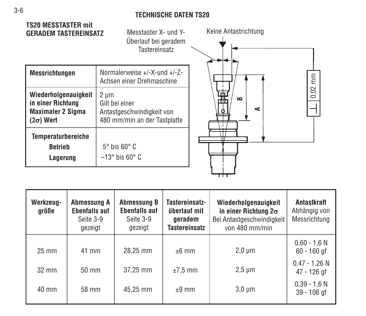### **TECHNISCHE DATEN TS20**

## **TS20 MESSTASTER mitGERADEM TASTEREINSATZ**

Messtaster X- und Y-Überlauf bei geradem Tastereinsatz

| Messrichtungen                                                              | Normalerweise +/-X-und +/-Z-<br>Achsen einer Drehmaschine                           |
|-----------------------------------------------------------------------------|-------------------------------------------------------------------------------------|
| Wiederholgenauigkeit<br>in einer Richtung<br>Maximaler 2 Sigma<br>(2σ) Wert | 2 µm<br>Gilt bei einer<br>Antastgeschwindigkeit von<br>480 mm/min an der Tastplatte |
| <b>Temperaturbereiche</b><br><b>Betrieb</b><br>Lagerung                     | $5^\circ$ bis $60^\circ$ C<br>$-13^\circ$ bis 60 $^\circ$ C                         |



| Werkzeug-<br>aröße | Abmessung A<br><b>Ebenfalls auf</b><br>Seite 3-9<br>gezeigt | <b>Abmessung B</b><br><b>Ebenfalls auf</b><br>Seite 3-9<br>gezeigt | Tastereinsatz-<br>überlauf mit<br>qeradem<br><b>Tastereinsatz</b> | Wiederholgenauigkeit<br>in einer Richtung $2\sigma$<br>Bei Antastgeschwindigkeit<br>von 480 mm/min | Antastkraft<br>Abhängig von<br>Messrichtung |
|--------------------|-------------------------------------------------------------|--------------------------------------------------------------------|-------------------------------------------------------------------|----------------------------------------------------------------------------------------------------|---------------------------------------------|
| $25 \text{ mm}$    | 41 mm                                                       | 28,25 mm                                                           | $±6$ mm                                                           | $2.0 \mu m$                                                                                        | $0.60 - 1.6 N$<br>$60 - 160$ gf             |
| $32 \text{ mm}$    | $50 \text{ mm}$                                             | 37.25 mm                                                           | $±7,5$ mm                                                         | $2.5 \mu m$                                                                                        | $0.47 - 1.26$ N<br>47 - 126 af              |
| 40 mm              | 58 mm                                                       | 45.25 mm                                                           | $±9$ mm                                                           | $3.0 \mu m$                                                                                        | $0.39 - 1.6 N$<br>39 - 106 gf               |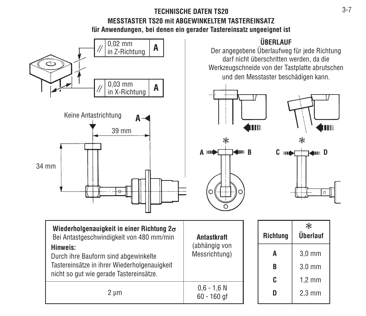# **TECHNISCHE DATEN TS20MESSTASTER TS20 mit ABGEWINKELTEM TASTEREINSATZfür Anwendungen, bei denen ein gerader Tastereinsatz ungeeignet ist**



 $2 \mu m$ 

60 - 160 gf

**D**

2,3 mm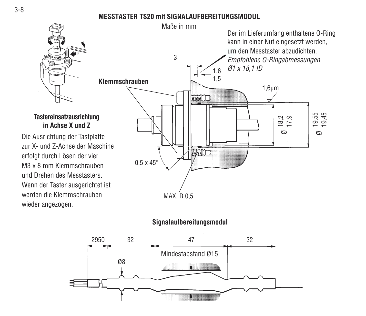# **MESSTASTER TS20 mit SIGNALAUFBEREITUNGSMODUL**



#### **Tastereinsatzausrichtung in Achse X und Z**

Die Ausrichtung der Tastplatte zur X- und Z-Achse der Maschineerfolgt durch Lösen der vier M3 x 8 mm Klemmschraubenund Drehen des Messtasters.Wenn der Taster ausgerichtet ist werden die Klemmschraubenwieder angezogen.



# **Signalaufbereitungsmodul**

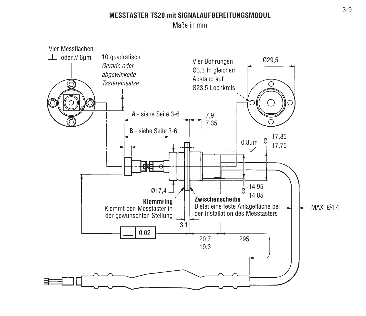#### **MESSTASTER TS20 mit SIGNALAUFBEREITUNGSMODUL**

Maße in mm

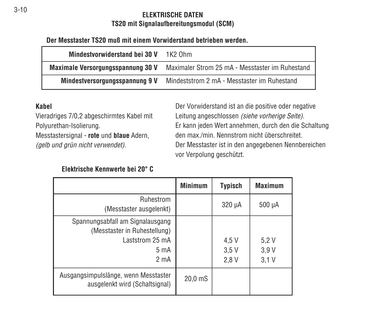#### **ELEKTRISCHE DATENTS20 mit Signalaufbereitungsmodul (SCM)**

#### **Der Messtaster TS20 muß mit einem Vorwiderstand betrieben werden.**

| Mindestvorwiderstand bei 30 V     | $1K2$ Ohm                                       |
|-----------------------------------|-------------------------------------------------|
| Maximale Versorgungsspannung 30 V | Maximaler Strom 25 mA - Messtaster im Ruhestand |
| Mindestversorgungsspannung 9 V    | Mindeststrom 2 mA - Messtaster im Ruhestand     |

#### **Kabel**

Vieradriges 7/0,2 abgeschirmtes Kabel mit Polyurethan-Isolierung.

Messtastersignal - **rote** und **blaue** Adern, (gelb und grün nicht verwendet).

Der Vorwiderstand ist an die positive oder negative Leitung angeschlossen (siehe vorherige Seite). Er kann jeden Wert annehmen, durch den die Schaltung den max./min. Nennstrom nicht überschreitet.Der Messtaster ist in den angegebenen Nennbereichen vor Verpolung geschützt.

#### **Elektrische Kennwerte bei 20° C**

|                                                                                                                           | <b>Minimum</b>   | <b>Typisch</b>        | <b>Maximum</b>       |
|---------------------------------------------------------------------------------------------------------------------------|------------------|-----------------------|----------------------|
| Ruhestrom<br>(Messtaster ausgelenkt)                                                                                      |                  | 320 µA                | 500 µA               |
| Spannungsabfall am Signalausgang<br>(Messtaster in Ruhestellung)<br>Laststrom 25 mA<br>$5 \text{ mA}$<br>2 <sub>m</sub> A |                  | 4,5 V<br>3.5V<br>2.8V | 5.2V<br>3.9V<br>3.1V |
| Ausgangsimpulslänge, wenn Messtaster<br>ausgelenkt wird (Schaltsignal)                                                    | $20.0 \text{ m}$ |                       |                      |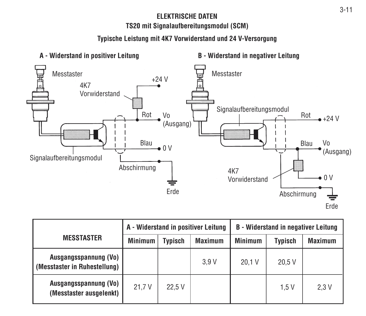#### **ELEKTRISCHE DATENTS20 mit Signalaufbereitungsmodul (SCM)**

# **Typische Leistung mit 4K7 Vorwiderstand und 24 V-Versorgung**



|                                                       | A - Widerstand in positiver Leitung |         |                | <b>B</b> - Widerstand in negativer Leitung |         |                |
|-------------------------------------------------------|-------------------------------------|---------|----------------|--------------------------------------------|---------|----------------|
| <b>MESSTASTER</b>                                     | <b>Minimum</b>                      | Typisch | <b>Maximum</b> | <b>Minimum</b>                             | Typisch | <b>Maximum</b> |
| Ausgangsspannung (Vo)<br>(Messtaster in Ruhestellung) |                                     |         | 3.9V           | 20.1 V                                     | 20.5V   |                |
| Ausgangsspannung (Vo)<br>(Messtaster ausgelenkt)      | 21.7 V                              | 22.5V   |                |                                            | 1.5 V   | 2.3V           |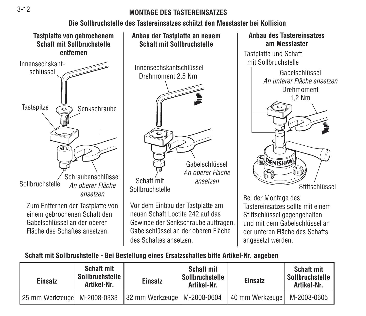#### **MONTAGE DES TASTEREINSATZES**

#### **Die Sollbruchstelle des Tastereinsatzes schützt den Messtaster bei Kollision**



**Anbau der Tastplatte an neuem Schaft mit Sollbruchstelle** InnensechskantschlüsselDrehmoment 2,5 Nm

SollbruchstelleVor dem Einbau der Tastplatte am neuen Schaft Loctite 242 auf dasGewinde der Senkschraube auftragen. Gabelschlüssel an der oberen Flächedes Schaftes ansetzen.ansetzen

GabelschlüsselAn oberer Fläche



Bei der Montage des Tastereinsatzes sollte mit einemStiftschlüssel gegengehalten und mit dem Gabelschlüssel ander unteren Fläche des Schaftsangesetzt werden.

#### **Schaft mit Sollbruchstelle - Bei Bestellung eines Ersatzschaftes bitte Artikel-Nr. angeben**

| Einsatz                       | <b>Schaft mit</b><br>Sollbruchstelle I<br>Artikel-Nr. | Einsatz                       | <b>Schaft mit</b><br>Sollbruchstelle I<br>Artikel-Nr. | Einsatz           | <b>Schaft mit</b><br>Sollbruchstelle<br>Artikel-Nr. |
|-------------------------------|-------------------------------------------------------|-------------------------------|-------------------------------------------------------|-------------------|-----------------------------------------------------|
| 25 mm Werkzeuge   M-2008-0333 |                                                       | 32 mm Werkzeuge   M-2008-0604 |                                                       | 40 mm Werkzeuge I | M-2008-0605                                         |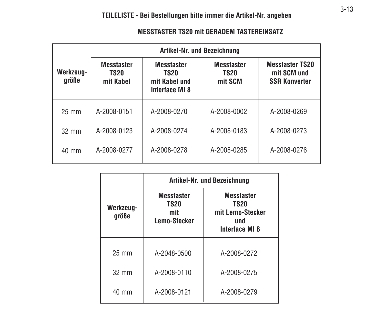|                    |                                               | Artikel-Nr. und Bezeichnung                                         |                                             |                                                               |  |
|--------------------|-----------------------------------------------|---------------------------------------------------------------------|---------------------------------------------|---------------------------------------------------------------|--|
| Werkzeug-<br>größe | <b>Messtaster</b><br><b>TS20</b><br>mit Kahel | <b>Messtaster</b><br><b>TS20</b><br>mit Kabel und<br>Interface MI 8 | <b>Messtaster</b><br><b>TS20</b><br>mit SCM | <b>Messtaster TS20</b><br>mit SCM und<br><b>SSR Konverter</b> |  |
| $25 \text{ mm}$    | A-2008-0151                                   | A-2008-0270                                                         | A-2008-0002                                 | A-2008-0269                                                   |  |
| $32 \text{ mm}$    | A-2008-0123                                   | A-2008-0274                                                         | A-2008-0183                                 | A-2008-0273                                                   |  |
| 40 mm              | A-2008-0277                                   | A-2008-0278                                                         | A-2008-0285                                 | A-2008-0276                                                   |  |

|                    | Artikel-Nr. und Bezeichnung                             |                                                                                      |  |  |
|--------------------|---------------------------------------------------------|--------------------------------------------------------------------------------------|--|--|
| Werkzeug-<br>größe | <b>Messtaster</b><br><b>TS20</b><br>mit<br>Lemo-Stecker | <b>Messtaster</b><br><b>TS20</b><br>mit Lemo-Stecker<br>und<br><b>Interface MI 8</b> |  |  |
| $25 \text{ mm}$    | A-2048-0500                                             | A-2008-0272                                                                          |  |  |
| $32 \text{ mm}$    | A-2008-0110                                             | A-2008-0275                                                                          |  |  |
| $40 \text{ mm}$    | A-2008-0121                                             | A-2008-0279                                                                          |  |  |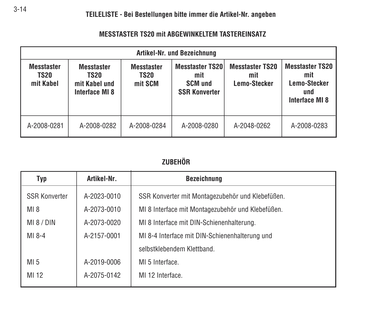#### **MESSTASTER TS20 mit ABGEWINKELTEM TASTEREINSATZ**

| Artikel-Nr. und Bezeichnung                   |                                                                     |                                      |                                                                         |                                                      |                                                                               |
|-----------------------------------------------|---------------------------------------------------------------------|--------------------------------------|-------------------------------------------------------------------------|------------------------------------------------------|-------------------------------------------------------------------------------|
| <b>Messtaster</b><br><b>TS20</b><br>mit Kabel | <b>Messtaster</b><br><b>TS20</b><br>mit Kabel und<br>Interface MI 8 | <b>Messtaster</b><br>TS20<br>mit SCM | <b>Messtaster TS20</b><br>mit<br><b>SCM und</b><br><b>SSR Konverter</b> | <b>Messtaster TS20</b><br>mit<br><b>Lemo-Stecker</b> | <b>Messtaster TS20</b><br>mit<br><b>Lemo-Stecker</b><br>und<br>Interface MI 8 |
| A-2008-0281                                   | A-2008-0282                                                         | A-2008-0284                          | A-2008-0280                                                             | A-2048-0262                                          | A-2008-0283                                                                   |

# **ZUBEHÖR**

| Typ                  | Artikel-Nr. | <b>Bezeichnung</b>                                |
|----------------------|-------------|---------------------------------------------------|
| <b>SSR Konverter</b> | A-2023-0010 | SSR Konverter mit Montagezubehör und Klebefüßen.  |
| $MI_8$               | A-2073-0010 | MI 8 Interface mit Montagezubehör und Klebefüßen. |
| MI 8 / DIN           | A-2073-0020 | MI 8 Interface mit DIN-Schienenhalterung.         |
| $MI 8-4$             | A-2157-0001 | MI 8-4 Interface mit DIN-Schienenhalterung und    |
|                      |             | selbstklebendem Klettband.                        |
| MI <sub>5</sub>      | A-2019-0006 | MI 5 Interface.                                   |
| MI 12                | A-2075-0142 | MI 12 Interface.                                  |
|                      |             |                                                   |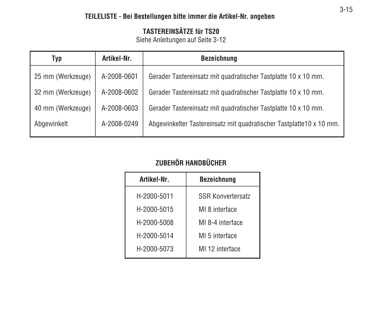# **TASTEREINSÄTZE für TS20**

Siehe Anleitungen auf Seite 3-12

| Typ               | Artikel-Nr. | <b>Bezeichnung</b>                                                  |
|-------------------|-------------|---------------------------------------------------------------------|
| 25 mm (Werkzeuge) | A-2008-0601 | Gerader Tastereinsatz mit quadratischer Tastplatte 10 x 10 mm.      |
| 32 mm (Werkzeuge) | A-2008-0602 | Gerader Tastereinsatz mit quadratischer Tastplatte 10 x 10 mm.      |
| 40 mm (Werkzeuge) | A-2008-0603 | Gerader Tastereinsatz mit quadratischer Tastplatte 10 x 10 mm.      |
| Abgewinkelt       | A-2008-0249 | Abgewinkelter Tastereinsatz mit quadratischer Tastplatte10 x 10 mm. |

# **ZUBEHÖR HANDBÜCHER**

| Artikel-Nr. | <b>Bezeichnung</b>       |
|-------------|--------------------------|
| H-2000-5011 | <b>SSR Konvertersatz</b> |
| H-2000-5015 | MI 8 interface           |
| H-2000-5008 | MI 8-4 interface         |
| H-2000-5014 | MI 5 interface           |
| H-2000-5073 | MI 12 interface          |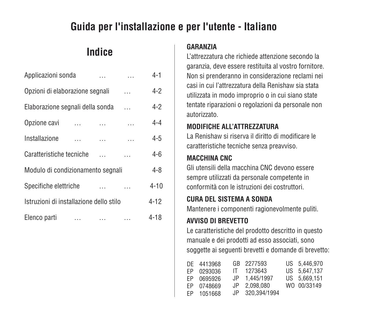# **Guida per l'installazione e per l'utente - Italiano**

# **Indice**

| Applicazioni sonda                      | 4-1      |           |  |          |
|-----------------------------------------|----------|-----------|--|----------|
| Opzioni di elaborazione segnali         | $4-2$    |           |  |          |
| Elaborazione segnali della sonda        | $4-2$    |           |  |          |
| Opzione cavi                            |          |           |  | 4-4      |
| Installazione                           |          | $\ddotsc$ |  | $4 - 5$  |
| Caratteristiche tecniche                |          |           |  | 4-6      |
| Modulo di condizionamento segnali       | 4-8      |           |  |          |
| Specifiche elettriche                   |          |           |  | $4 - 10$ |
| Istruzioni di installazione dello stilo | $4 - 12$ |           |  |          |
| Elenco parti                            | $\cdots$ | .         |  | $4 - 18$ |

#### **GARANZIA**

L'attrezzatura che richiede attenzione secondo lagaranzia, deve essere restituita al vostro fornitore. Non si prenderanno in considerazione reclami nei casi in cui l'attrezzatura della Renishaw sia statautilizzata in modo improprio o in cui siano state tentate riparazioni o regolazioni da personale non autorizzato.

# **MODIFICHE ALL'ATTREZZATURA**

La Renishaw si riserva il diritto di modificare lecaratteristiche tecniche senza preavviso.

# **MACCHINA CNC**

Gli utensili della macchina CNC devono esseresempre utilizzati da personale competente in conformità con le istruzioni dei costruttori.

# **CURA DEL SISTEMA A SONDA**

Mantenere i componenti ragionevolmente puliti.

# **AVVISO DI BREVETTO**

Le caratteristiche del prodotto descritto in questo manuale e dei prodotti ad esso associati, sono soggette ai seguenti brevetti e domande di brevetto:

| DE 4413968 | GB 2277593      | US 5.446,970 |
|------------|-----------------|--------------|
| EP 0293036 | IT 1273643      | US 5.647.137 |
| FP 0695926 | JP 1.445/1997   | US 5.669.151 |
| EP 0748669 | JP 2.098.080    | WO 00/33149  |
| EP 1051668 | JP 320.394/1994 |              |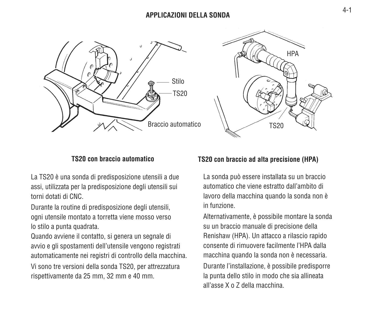



#### **TS20 con braccio automatico**

La TS20 è una sonda di predisposizione utensili a due assi, utilizzata per la predisposizione degli utensili sui torni dotati di CNC.

Durante la routine di predisposizione degli utensili, ogni utensile montato a torretta viene mosso verso lo stilo a punta quadrata.

Quando avviene il contatto, si genera un segnale di avvio e gli spostamenti dell'utensile vengono registrati automaticamente nei registri di controllo della macchina.

Vi sono tre versioni della sonda TS20, per attrezzatura rispettivamente da 25 mm, 32 mm e 40 mm.

#### **TS20 con braccio ad alta precisione (HPA)**

La sonda può essere installata su un braccio automatico che viene estratto dall'ambito dilavoro della macchina quando la sonda non è in funzione.

Alternativamente, è possibile montare la sonda su un braccio manuale di precisione della Renishaw (HPA). Un attacco a rilascio rapido consente di rimuovere facilmente l'HPA dallamacchina quando la sonda non è necessaria. Durante l'installazione, è possibile predisporre la punta dello stilo in modo che sia allineata all'asse X o Z della macchina.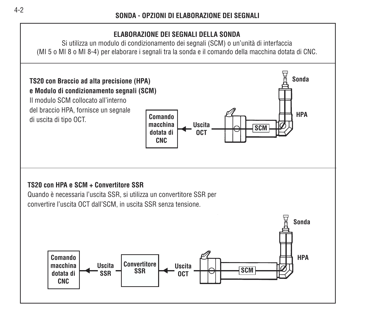# **ELABORAZIONE DEI SEGNALI DELLA SONDA**

Si utilizza un modulo di condizionamento dei segnali (SCM) o un'unità di interfaccia (MI 5 o MI 8 o MI 8-4) per elaborare i segnali tra la sonda e il comando della macchina dotata di CNC.

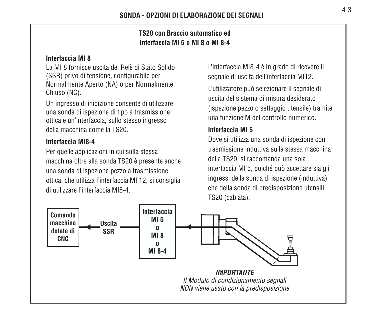## **TS20 con Braccio automatico edinterfaccia MI 5 o MI 8 o MI 8-4**

#### **Interfaccia MI 8**

La MI 8 fornisce uscita del Relè di Stato Solido(SSR) privo di tensione, configurabile per Normalmente Aperto (NA) o per Normalmente Chiuso (NC).

Un ingresso di inibizione consente di utilizzare una sonda di ispezione di tipo a trasmissione ottica e un'interfaccia, sullo stesso ingresso della macchina come la TS20.

#### **Interfaccia MI8-4**

Per quelle applicazioni in cui sulla stessa macchina oltre alla sonda TS20 è presente anche una sonda di ispezione pezzo a trasmissione ottica, che utilizza l'interfaccia MI 12, si consiglia di utilizzare l'interfaccia MI8-4.

L'interfaccia MI8-4 è in grado di ricevere il segnale di uscita dell'interfaccia MI12.

L'utilizzatore può selezionare il segnale di uscita del sistema di misura desiderato(ispezione pezzo o settaggio utensile) tramite una funzione M del controllo numerico.

## **Interfaccia MI 5**

Dove si utilizza una sonda di ispezione con trasmissione induttiva sulla stessa macchinadella TS20, si raccomanda una sola interfaccia MI 5, poiché può accettare sia gli ingressi della sonda di ispezione (induttiva) che della sonda di predisposizione utensili TS20 (cablata).

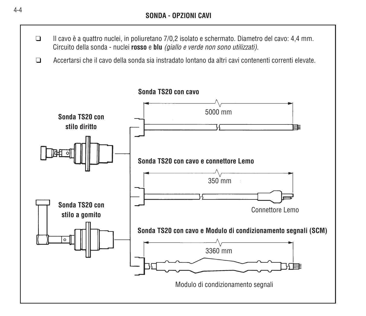- ❑ Il cavo è a quattro nuclei, in poliuretano 7/0,2 isolato e schermato. Diametro del cavo: 4,4 mm. Circuito della sonda - nuclei **rosso** e **blu** (giallo e verde non sono utilizzati).
- ❑Accertarsi che il cavo della sonda sia instradato lontano da altri cavi contenenti correnti elevate.

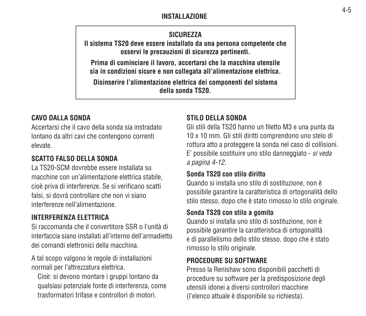#### **INSTALLAZIONE**

## **SICUREZZA**

**Il sistema TS20 deve essere installato da una persona competente che osservi le precauzioni di sicurezza pertinenti.**

**Prima di cominciare il lavoro, accertarsi che la macchina utensile sia in condizioni sicure e non collegata all'alimentazione elettrica.**

**Disinserire l'alimentazione elettrica dei componenti del sistema della sonda TS20.**

## **CAVO DALLA SONDA**

Accertarsi che il cavo della sonda sia instradatolontano da altri cavi che contengono correnti elevate.

#### **SCATTO FALSO DELLA SONDA**

La TS20-SCM dovrebbe essere installata sumacchine con un'alimentazione elettrica stabile, cioè priva di interferenze. Se si verificano scatti falsi, si dovrà controllare che non vi siano interferenze nell'alimentazione.

# **INTERFERENZA ELETTRICA**

Si raccomanda che il convertitore SSR o l'unità diinterfaccia siano installati all'interno dell'armadiettodei comandi elettronici della macchina.

A tal scopo valgono le regole di installazioni normali per l'attrezzatura elettrica.

Cioè: si devono montare i gruppi lontano da qualsiasi potenziale fonte di interferenza, come trasformatori trifase e controllori di motori.

#### **STILO DELLA SONDA**

Gli stili della TS20 hanno un filetto M3 e una punta da 10 x 10 mm. Gli stili diritti comprendono uno stelo di rottura atto a proteggere la sonda nel caso di collisioni. E' possibile sostituire uno stilo danneggiato - si veda a pagina 4-12.

#### **Sonda TS20 con stilo diritto**

Quando si installa uno stilo di sostituzione, non è possibile garantire la caratteristica di ortogonalità dello stilo stesso, dopo che è stato rimosso lo stilo originale.

#### **Sonda TS20 con stilo a gomito**

Quando si installa uno stilo di sostituzione, non è possibile garantire la caratteristica di ortogonalità e di parallelismo dello stilo stesso, dopo che è stato rimosso lo stilo originale.

# **PROCEDURE SU SOFTWARE**

Presso la Renishaw sono disponibili pacchetti di procedure su software per la predisposizione degli utensili idonei a diversi controllori macchine(l'elenco attuale è disponibile su richiesta).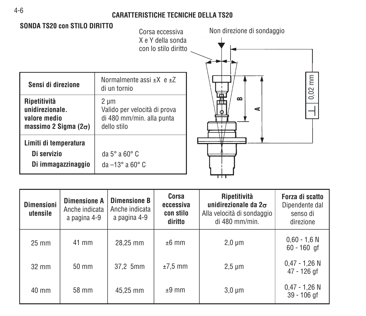#### **CARATTERISTICHE TECNICHE DELLA TS20**



| <b>Dimensioni</b><br>utensile | <b>Dimensione A</b><br>Anche indicata<br>a pagina 4-9 | <b>Dimensione B</b><br>Anche indicata<br>a pagina 4-9 | Corsa<br>eccessiva<br>con stilo<br>diritto | Ripetitività<br>unidirezionale da $2\sigma$<br>Alla velocità di sondaggio<br>di 480 mm/min. | Forza di scatto<br>Dipendente dal<br>senso di<br>direzione |
|-------------------------------|-------------------------------------------------------|-------------------------------------------------------|--------------------------------------------|---------------------------------------------------------------------------------------------|------------------------------------------------------------|
| $25 \text{ mm}$               | 41 mm                                                 | 28.25 mm                                              | $±6$ mm                                    | $2,0 \mu m$                                                                                 | $0.60 - 1.6 N$<br>$60 - 160$ gf                            |
| $32 \text{ mm}$               | $50 \text{ mm}$                                       | 37,2 5mm                                              | $±7.5$ mm                                  | $2,5 \mu m$                                                                                 | $0.47 - 1.26$ N<br>47 - 126 gf                             |
| 40 mm                         | 58 mm                                                 | 45,25 mm                                              | $±9$ mm                                    | $3,0 \mu m$                                                                                 | $0.47 - 1.26$ N<br>$39 - 106$ gf                           |

4-6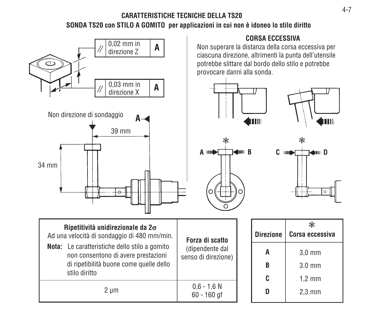# **CARATTERISTICHE TECNICHE DELLA TS20SONDA TS20 con STILO A GOMITO per applicazioni in cui non è idoneo lo stilo diritto**

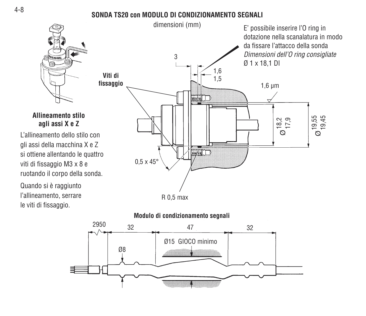#### **SONDA TS20 con MODULO DI CONDIZIONAMENTO SEGNALI**



# **Allineamento stiloagli assi X e Z**

L'allineamento dello stilo congli assi della macchina X e Z si ottiene allentando le quattro viti di fissaggio M3 x 8 e ruotando il corpo della sonda.

Quando si è raggiunto l'allineamento, serrare le viti di fissaggio.





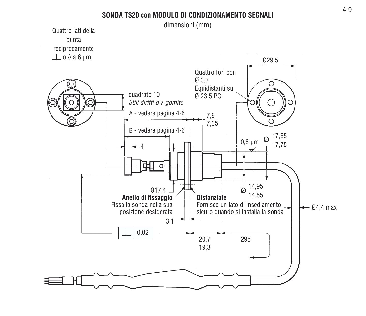#### **SONDA TS20 con MODULO DI CONDIZIONAMENTO SEGNALI**

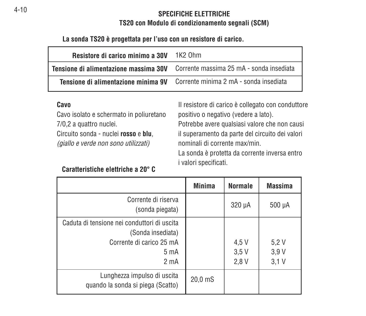#### **SPECIFICHE ELETTRICHETS20 con Modulo di condizionamento segnali (SCM)**

**La sonda TS20 è progettata per l'uso con un resistore di carico.**

| Resistore di carico minimo a 30V      | 1K <sub>2</sub> Ohm                      |
|---------------------------------------|------------------------------------------|
| Tensione di alimentazione massima 30V | Corrente massima 25 mA - sonda insediata |
| Tensione di alimentazione minima 9V   | Corrente minima 2 mA - sonda insediata   |

#### **Cavo**

Cavo isolato e schermato in poliuretano 7/0,2 a quattro nuclei.

Circuito sonda - nuclei **rosso** e **blu**, (giallo e verde non sono utilizzati)

Il resistore di carico è collegato con conduttore positivo o negativo (vedere a lato). Potrebbe avere qualsiasi valore che non causi il superamento da parte del circuito dei valori nominali di corrente max/min.La sonda è protetta da corrente inversa entro i valori specificati.

#### **Caratteristiche elettriche a 20° C**

|                                                                                                                           | <b>Minima</b>      | <b>Normale</b>        | <b>Massima</b>       |
|---------------------------------------------------------------------------------------------------------------------------|--------------------|-----------------------|----------------------|
| Corrente di riserva<br>(sonda piegata)                                                                                    |                    | $320 \mu A$           | 500 µA               |
| Caduta di tensione nei conduttori di uscita<br>(Sonda insediata)<br>Corrente di carico 25 mA<br>5 m A<br>2 <sub>m</sub> A |                    | 4,5 V<br>3.5V<br>2.8V | 5.2V<br>3.9V<br>3.1V |
| Lunghezza impulso di uscita<br>quando la sonda si piega (Scatto)                                                          | 20.0 <sub>ms</sub> |                       |                      |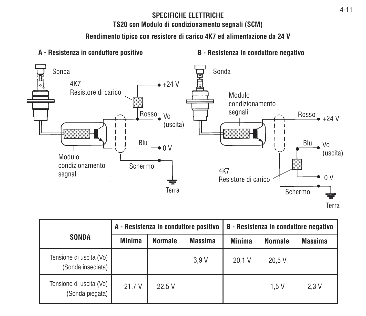# **SPECIFICHE ELETTRICHE**

**TS20 con Modulo di condizionamento segnali (SCM)**

**Rendimento tipico con resistore di carico 4K7 ed alimentazione da 24 V**



20.1 V 20.5 V 21,7 V | 22,5 V | | | | | | | 1,5 V | 2,3 V **SONDA**Minima | Normale | Massima | Minima | Normale | Massima Tensione di uscita (Vo) | anno 1992 | anno 1993 | anno 1993 | anno 1993 | anno 1994 | anno 1994 | anno 1994 | anno 1994 | anno 1994 | anno 1994 | anno 1994 | anno 1994 | anno 1994 | anno 1994 | anno 1994 | anno 1994 | anno (Sonda insediata) Tensione di uscita (Vo) (Sonda piegata) **B - Resistenza in conduttore negativo Normale A - Resistenza in conduttore positivo**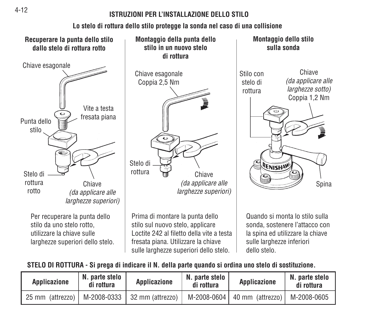#### **ISTRUZIONI PER L'INSTALLAZIONE DELLO STILO**

# **Lo stelo di rottura dello stilo protegge la sonda nel caso di una collisione**



# **STELO DI ROTTURA - Si prega di indicare il N. della parte quando si ordina uno stelo di sostituzione.**

| Applicazione     | N. parte stelo<br>di rottura | Applicazione                   | N. parte stelo<br>di rottura | Applicazione                                 | N. parte stelo<br>di rottura |
|------------------|------------------------------|--------------------------------|------------------------------|----------------------------------------------|------------------------------|
| 25 mm (attrezzo) |                              | M-2008-0333   32 mm (attrezzo) |                              | M-2008-0604   40 mm (attrezzo)   M-2008-0605 |                              |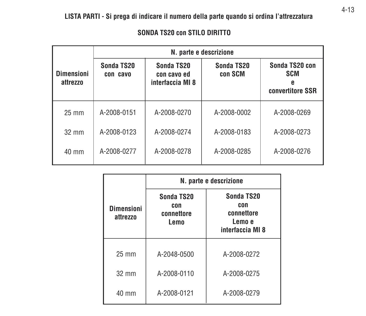|                               | N. parte e descrizione |                                               |                       |                                                  |  |  |  |
|-------------------------------|------------------------|-----------------------------------------------|-----------------------|--------------------------------------------------|--|--|--|
| <b>Dimensioni</b><br>attrezzo | Sonda TS20<br>con cavo | Sonda TS20<br>con cavo ed<br>interfaccia MI 8 | Sonda TS20<br>con SCM | Sonda TS20 con<br><b>SCM</b><br>convertitore SSR |  |  |  |
| $25 \text{ mm}$               | A-2008-0151            | A-2008-0270                                   | A-2008-0002           | A-2008-0269                                      |  |  |  |
| $32 \text{ mm}$               | A-2008-0123            | A-2008-0274                                   | A-2008-0183           | A-2008-0273                                      |  |  |  |
| 40 mm                         | A-2008-0277            | A-2008-0278                                   | A-2008-0285           | A-2008-0276                                      |  |  |  |

#### **SONDA TS20 con STILO DIRITTO**

|                               | N. parte e descrizione                  |                                                               |  |  |
|-------------------------------|-----------------------------------------|---------------------------------------------------------------|--|--|
| <b>Dimensioni</b><br>attrezzo | Sonda TS20<br>con<br>connettore<br>Lemo | Sonda TS20<br>con<br>connettore<br>Lemo e<br>interfaccia MI 8 |  |  |
| 25 mm                         | A-2048-0500                             | A-2008-0272                                                   |  |  |
| 32 mm                         | A-2008-0110                             | A-2008-0275                                                   |  |  |
| 40 mm                         | A-2008-0121                             | A-2008-0279                                                   |  |  |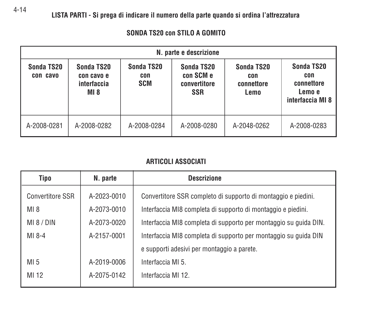|                        | N. parte e descrizione                          |                                 |                                                       |                                         |                                                               |  |
|------------------------|-------------------------------------------------|---------------------------------|-------------------------------------------------------|-----------------------------------------|---------------------------------------------------------------|--|
| Sonda TS20<br>con cavo | Sonda TS20<br>con cavo e<br>interfaccia<br>MI 8 | Sonda TS20<br>con<br><b>SCM</b> | Sonda TS20<br>con SCM e<br>convertitore<br><b>SSR</b> | Sonda TS20<br>con<br>connettore<br>Lemo | Sonda TS20<br>con<br>connettore<br>Lemo e<br>interfaccia MI 8 |  |
| A-2008-0281            | A-2008-0282                                     | A-2008-0284                     | A-2008-0280                                           | A-2048-0262                             | A-2008-0283                                                   |  |

#### **SONDA TS20 con STILO A GOMITO**

#### **ARTICOLI ASSOCIATI**

| Tipo                    | N. parte    | <b>Descrizione</b>                                               |
|-------------------------|-------------|------------------------------------------------------------------|
| <b>Convertitore SSR</b> | A-2023-0010 | Convertitore SSR completo di supporto di montaggio e piedini.    |
| $MI_8$                  | A-2073-0010 | Interfaccia MI8 completa di supporto di montaggio e piedini.     |
| M18/DIN                 | A-2073-0020 | Interfaccia MI8 completa di supporto per montaggio su quida DIN. |
| MI 8-4                  | A-2157-0001 | Interfaccia MI8 completa di supporto per montaggio su guida DIN  |
|                         |             | e supporti adesivi per montaggio a parete.                       |
| MI <sub>5</sub>         | A-2019-0006 | Interfaccia MI 5.                                                |
| MI 12                   | A-2075-0142 | Interfaccia MI 12.                                               |
|                         |             |                                                                  |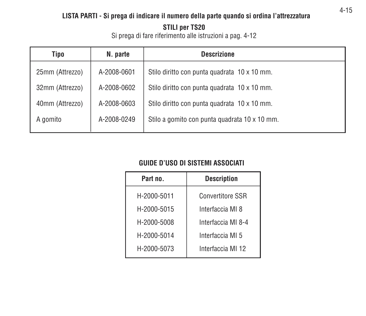# **LISTA PARTI - Si prega di indicare il numero della parte quando si ordina l'attrezzatura**

**STILI per TS20**

Si prega di fare riferimento alle istruzioni a pag. 4-12

| Tipo            | N. parte    | <b>Descrizione</b>                            |
|-----------------|-------------|-----------------------------------------------|
| 25mm (Attrezzo) | A-2008-0601 | Stilo diritto con punta quadrata 10 x 10 mm.  |
| 32mm (Attrezzo) | A-2008-0602 | Stilo diritto con punta quadrata 10 x 10 mm.  |
| 40mm (Attrezzo) | A-2008-0603 | Stilo diritto con punta quadrata 10 x 10 mm.  |
| A gomito        | A-2008-0249 | Stilo a gomito con punta guadrata 10 x 10 mm. |

# **GUIDE D'USO DI SISTEMI ASSOCIATI**

| Part no.    | <b>Description</b>      |
|-------------|-------------------------|
| H-2000-5011 | <b>Convertitore SSR</b> |
| H-2000-5015 | Interfaccia MI 8        |
| H-2000-5008 | Interfaccia MI 8-4      |
| H-2000-5014 | Interfaccia MI 5        |
| H-2000-5073 | Interfaccia MI 12       |